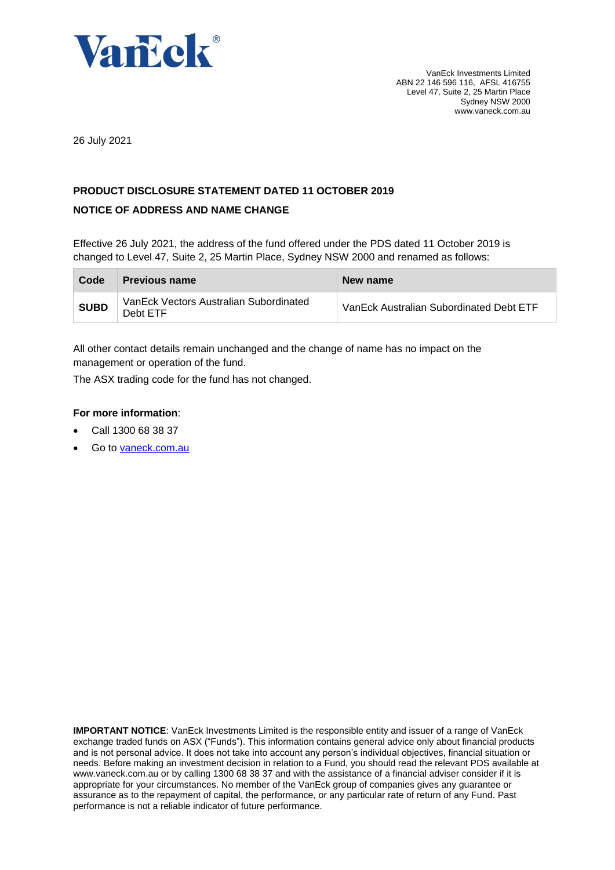

26 July 2021

### **PRODUCT DISCLOSURE STATEMENT DATED 11 OCTOBER 2019**

#### **NOTICE OF ADDRESS AND NAME CHANGE**

Effective 26 July 2021, the address of the fund offered under the PDS dated 11 October 2019 is changed to Level 47, Suite 2, 25 Martin Place, Sydney NSW 2000 and renamed as follows:

| Code        | <b>Previous name</b>                               | New name                                |
|-------------|----------------------------------------------------|-----------------------------------------|
| <b>SUBD</b> | VanEck Vectors Australian Subordinated<br>Debt ETF | VanEck Australian Subordinated Debt ETF |

All other contact details remain unchanged and the change of name has no impact on the management or operation of the fund.

The ASX trading code for the fund has not changed.

#### **For more information**:

- Call 1300 68 38 37
- Go to [vaneck.com.au](http://www.marketvectors-australia.com/)

**IMPORTANT NOTICE**: VanEck Investments Limited is the responsible entity and issuer of a range of VanEck exchange traded funds on ASX ("Funds"). This information contains general advice only about financial products and is not personal advice. It does not take into account any person's individual objectives, financial situation or needs. Before making an investment decision in relation to a Fund, you should read the relevant PDS available at [www.vaneck.com.au](http://www.vaneck.com.au/) or by calling 1300 68 38 37 and with the assistance of a financial adviser consider if it is appropriate for your circumstances. No member of the VanEck group of companies gives any guarantee or assurance as to the repayment of capital, the performance, or any particular rate of return of any Fund. Past performance is not a reliable indicator of future performance.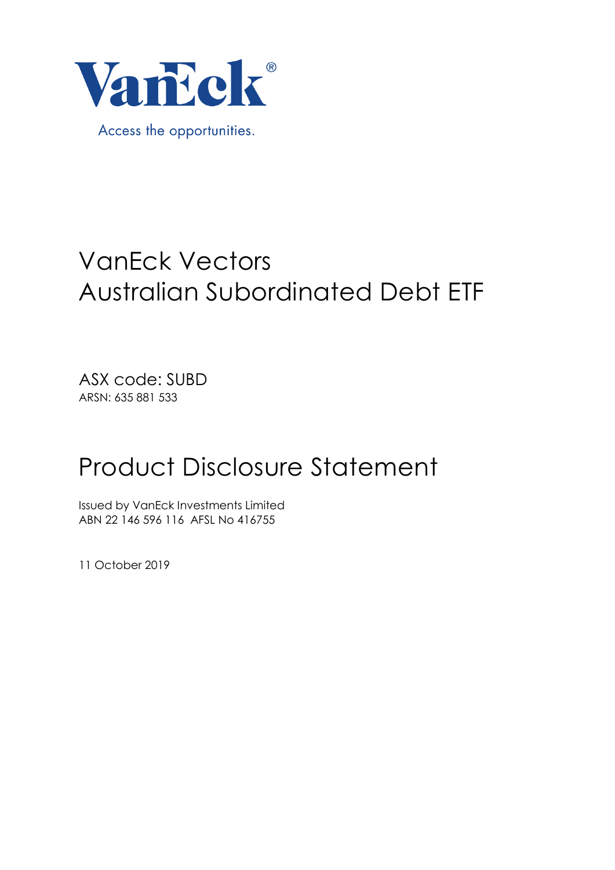

# VanEck Vectors Australian Subordinated Debt ETF

ASX code: SUBD ARSN: 635 881 533

# Product Disclosure Statement

Issued by VanEck Investments Limited ABN 22 146 596 116 AFSL No 416755

11 October 2019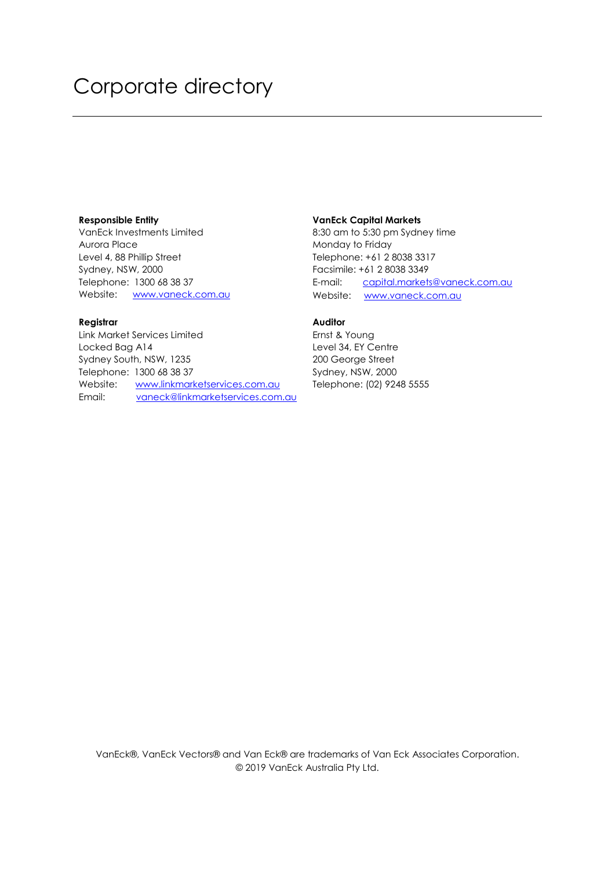### Corporate directory

#### **Responsible Entity**

VanEck Investments Limited Aurora Place Level 4, 88 Phillip Street Sydney, NSW, 2000 Telephone: 1300 68 38 37 Website: [www.vaneck.com.au](http://www.vaneck.com.au/)

#### **Registrar**

Link Market Services Limited Locked Bag A14 Sydney South, NSW, 1235 Telephone: 1300 68 38 37 Website: [www.linkmarketservices.com.au](http://www.linkmarketservices.com.au/) Email: [vaneck@linkmarketservices.com.au](mailto:vaneck@linkmarketservices.com.au)

#### **VanEck Capital Markets**

8:30 am to 5:30 pm Sydney time Monday to Friday Telephone: +61 2 8038 3317 Facsimile: +61 2 8038 3349 E-mail: [capital.markets@vaneck.com.au](mailto:capital.markets@vaneck.com.au)  Website: [www.vaneck.com.au](http://www.marketvectors.com.au/) 

#### **Auditor**

Ernst & Young Level 34, EY Centre 200 George Street Sydney, NSW, 2000 Telephone: (02) 9248 5555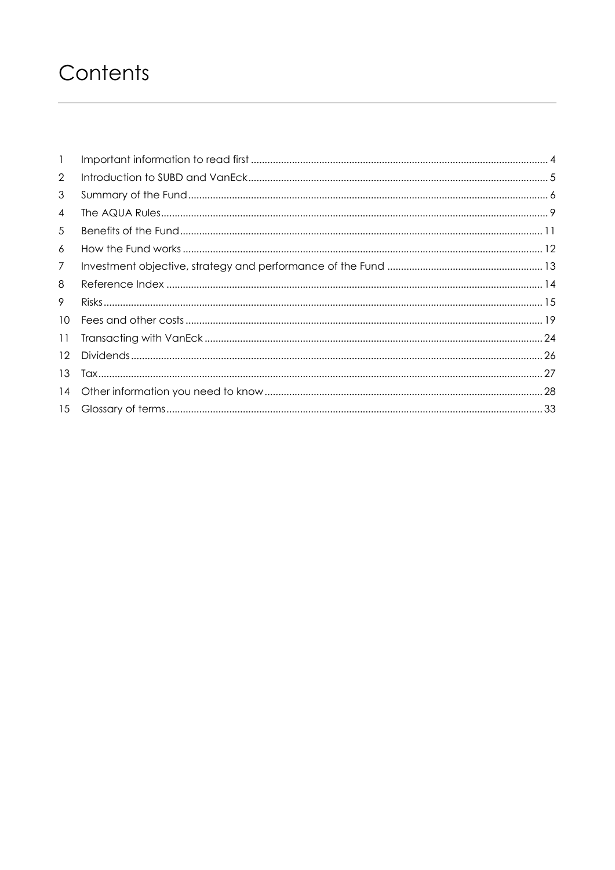## Contents

| $\mathbf{1}$    |  |
|-----------------|--|
| 2               |  |
| 3               |  |
| 4               |  |
| 5               |  |
| 6               |  |
| 7               |  |
| 8               |  |
| 9               |  |
| 10 <sup>°</sup> |  |
| 11              |  |
| 12              |  |
| 13              |  |
| 14              |  |
| 15              |  |
|                 |  |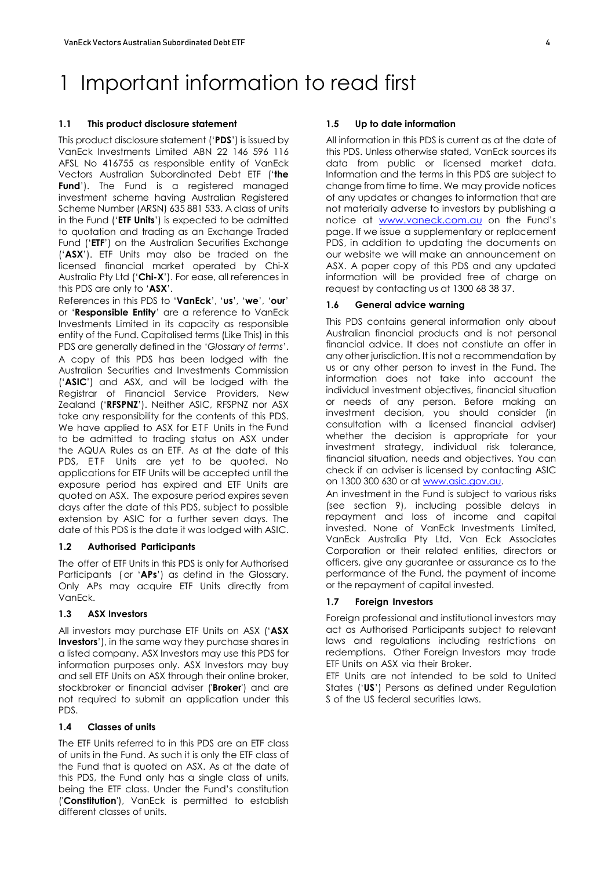## <span id="page-4-0"></span>1 Important information to read first

#### **1.1 This product disclosure statement**

This product disclosure statement ('**PDS**') is issued by VanEck Investments Limited ABN 22 146 596 116 AFSL No 416755 as responsible entity of VanEck Vectors Australian Subordinated Debt ETF ('**the Fund**'). The Fund is a registered managed investment scheme having Australian Registered Scheme Number (ARSN) 635 881 533. A class of units in the Fund ('**ETF Units**') is expected to be admitted to quotation and trading as an Exchange Traded Fund ('ETF') on the Australian Securities Exchange ('**ASX**'). ETF Units may also be traded on the licensed financial market operated by Chi-X Australia Pty Ltd ('**Chi-X**'). For ease, all references in this PDS are only to '**ASX**'.

References in this PDS to '**VanEck**', '**us**', '**we**', '**our**' or '**Responsible Entity**' are a reference to VanEck Investments Limited in its capacity as responsible entity of the Fund. Capitalised terms (Like This) in this PDS are generally defined in the '*Glossary of terms*'. A copy of this PDS has been lodged with the Australian Securities and Investments Commission ('**ASIC**') and ASX, and will be lodged with the Registrar of Financial Service Providers, New Zealand ('**RFSPNZ**'). Neither ASIC, RFSPNZ nor ASX take any responsibility for the contents of this PDS. We have applied to ASX for ETF Units in the Fund to be admitted to trading status on ASX under the AQUA Rules as an ETF. As at the date of this PDS, ETF Units are yet to be quoted. No applications for ETF Units will be accepted until the exposure period has expired and ETF Units are quoted on ASX. The exposure period expires seven days after the date of this PDS, subject to possible extension by ASIC for a further seven days. The date of this PDS is the date it was lodged with ASIC.

#### **1.2 Authorised Participants**

The offer of ETF Units in this PDS is only for Authorised Participants (or '**APs**') as defind in the Glossary. Only APs may acquire ETF Units directly from VanEck.

#### **1.3 ASX Investors**

All investors may purchase ETF Units on ASX ('**ASX Investors**'), in the same way they purchase shares in a listed company. ASX Investors may use this PDS for information purposes only. ASX Investors may buy and sell ETF Units on ASX through their online broker, stockbroker or financial adviser ('**Broker**') and are not required to submit an application under this PDS.

#### **1.4 Classes of units**

The ETF Units referred to in this PDS are an ETF class of units in the Fund. As such it is only the ETF class of the Fund that is quoted on ASX. As at the date of this PDS, the Fund only has a single class of units, being the ETF class. Under the Fund's constitution ('**Constitution**'), VanEck is permitted to establish different classes of units.

#### **1.5 Up to date information**

All information in this PDS is current as at the date of this PDS. Unless otherwise stated, VanEck sources its data from public or licensed market data. Information and the terms in this PDS are subject to change from time to time. We may provide notices of any updates or changes to information that are not materially adverse to investors by publishing a notice at [www.vaneck.com.au](http://www.vaneck.com.au/) on the Fund's page. If we issue a supplementary or replacement PDS, in addition to updating the documents on our website we will make an announcement on ASX. A paper copy of this PDS and any updated information will be provided free of charge on request by contacting us at 1300 68 38 37.

#### **1.6 General advice warning**

This PDS contains general information only about Australian financial products and is not personal financial advice. It does not constiute an offer in any other jurisdiction. It is not a recommendation by us or any other person to invest in the Fund. The information does not take into account the individual investment objectives, financial situation or needs of any person. Before making an investment decision, you should consider (in consultation with a licensed financial adviser) whether the decision is appropriate for your investment strategy, individual risk tolerance, financial situation, needs and objectives. You can check if an adviser is licensed by contacting ASIC on 1300 300 630 or a[t www.asic.gov.au.](http://www.asic.gov.au/)

An investment in the Fund is subject to various risks (see section 9), including possible delays in repayment and loss of income and capital invested. None of VanEck Investments Limited, VanEck Australia Pty Ltd, Van Eck Associates Corporation or their related entities, directors or officers, give any guarantee or assurance as to the performance of the Fund, the payment of income or the repayment of capital invested.

#### **1.7 Foreign Investors**

Foreign professional and institutional investors may act as Authorised Participants subject to relevant laws and regulations including restrictions on redemptions. Other Foreign Investors may trade ETF Units on ASX via their Broker.

ETF Units are not intended to be sold to United States ('**US**') Persons as defined under Regulation S of the US federal securities laws.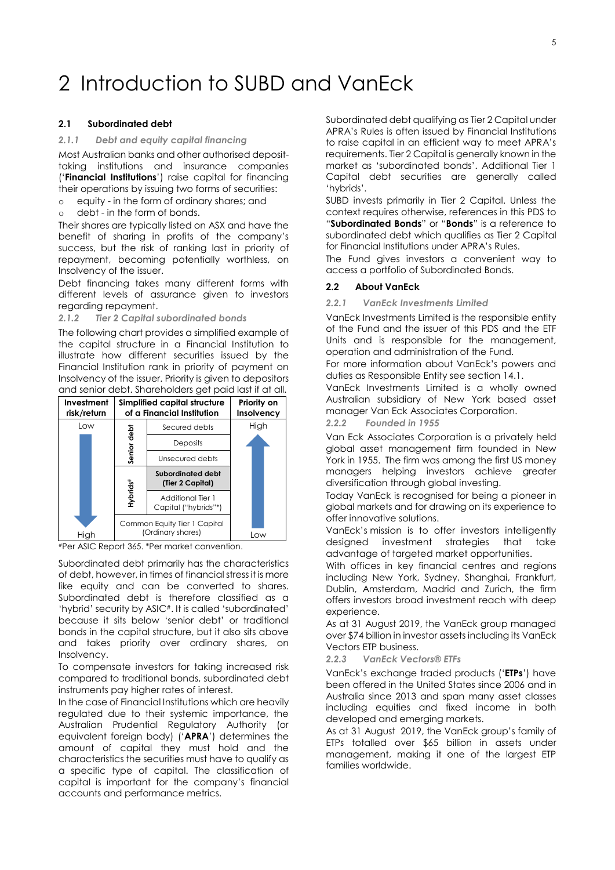### <span id="page-5-0"></span>2 Introduction to SUBD and VanEck

#### **2.1 Subordinated debt**

#### *2.1.1 Debt and equity capital financing*

Most Australian banks and other authorised deposittaking institutions and insurance companies ('**Financial Institutions**') raise capital for financing their operations by issuing two forms of securities:

- o equity in the form of ordinary shares; and
- o debt in the form of bonds.

Their shares are typically listed on ASX and have the benefit of sharing in profits of the company's success, but the risk of ranking last in priority of repayment, becoming potentially worthless, on Insolvency of the issuer.

Debt financing takes many different forms with different levels of assurance given to investors regarding repayment.

#### *2.1.2 Tier 2 Capital subordinated bonds*

The following chart provides a simplified example of the capital structure in a Financial Institution to illustrate how different securities issued by the Financial Institution rank in priority of payment on Insolvency of the issuer. Priority is given to depositors and senior debt. Shareholders get paid last if at all.



#Per ASIC Report 365. \*Per market convention.

Subordinated debt primarily has the characteristics of debt, however, in times of financial stress it is more like equity and can be converted to shares. Subordinated debt is therefore classified as a 'hybrid' security by ASIC#. It is called 'subordinated' because it sits below 'senior debt' or traditional bonds in the capital structure, but it also sits above and takes priority over ordinary shares, on Insolvency.

To compensate investors for taking increased risk compared to traditional bonds, subordinated debt instruments pay higher rates of interest.

In the case of Financial Institutions which are heavily regulated due to their systemic importance, the Australian Prudential Regulatory Authority (or equivalent foreign body) ('**APRA**') determines the amount of capital they must hold and the characteristics the securities must have to qualify as a specific type of capital. The classification of capital is important for the company's financial accounts and performance metrics.

Subordinated debt qualifying as Tier 2 Capital under APRA's Rules is often issued by Financial Institutions to raise capital in an efficient way to meet APRA's requirements. Tier 2 Capital is generally known in the market as 'subordinated bonds'. Additional Tier 1 Capital debt securities are generally called 'hybrids'.

SUBD invests primarily in Tier 2 Capital. Unless the context requires otherwise, references in this PDS to "**Subordinated Bonds**" or "**Bonds**" is a reference to subordinated debt which qualifies as Tier 2 Capital for Financial Institutions under APRA's Rules.

The Fund gives investors a convenient way to access a portfolio of Subordinated Bonds.

#### **2.2 About VanEck**

*2.2.1 VanEck Investments Limited* 

VanEck Investments Limited is the responsible entity of the Fund and the issuer of this PDS and the ETF Units and is responsible for the management, operation and administration of the Fund.

For more information about VanEck's powers and duties as Responsible Entity see section 14.1.

VanEck Investments Limited is a wholly owned Australian subsidiary of New York based asset manager Van Eck Associates Corporation.

*2.2.2 Founded in 1955*

Van Eck Associates Corporation is a privately held global asset management firm founded in New York in 1955. The firm was among the first US money managers helping investors achieve greater diversification through global investing.

Today VanEck is recognised for being a pioneer in global markets and for drawing on its experience to offer innovative solutions.

VanEck's mission is to offer investors intelligently designed investment strategies that take advantage of targeted market opportunities.

With offices in key financial centres and regions including New York, Sydney, Shanghai, Frankfurt, Dublin, Amsterdam, Madrid and Zurich, the firm offers investors broad investment reach with deep experience.

As at 31 August 2019, the VanEck group managed over \$74 billion in investor assets including its VanEck Vectors ETP business.

*2.2.3 VanEck Vectors® ETFs*

VanEck's exchange traded products ('**ETPs**') have been offered in the United States since 2006 and in Australia since 2013 and span many asset classes including equities and fixed income in both developed and emerging markets.

As at 31 August 2019, the VanEck group's family of ETPs totalled over \$65 billion in assets under management, making it one of the largest ETP families worldwide.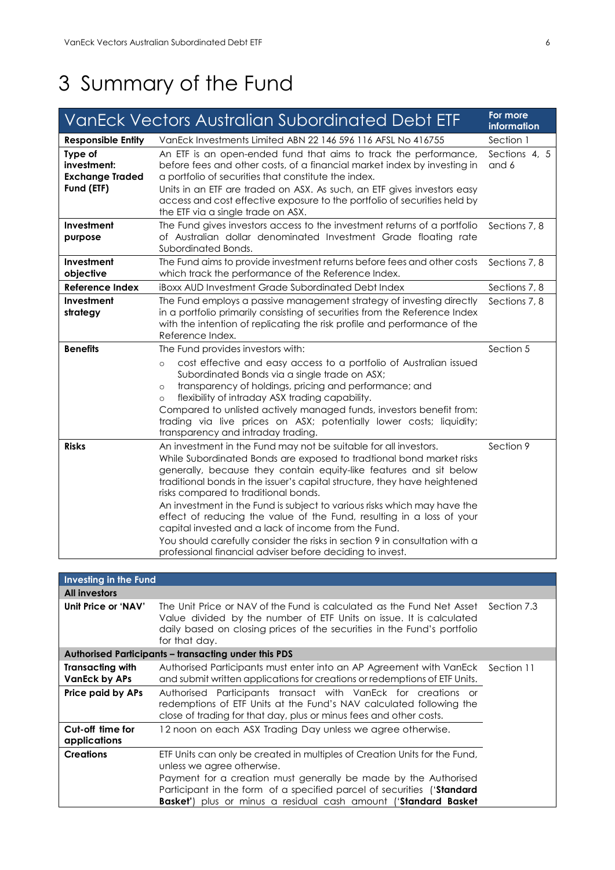# <span id="page-6-0"></span>3 Summary of the Fund

|                                                                | VanEck Vectors Australian Subordinated Debt ETF                                                                                                                                                                                                                                                                                                                                                                                                                                                                                                                                                                                                                                              | For more<br>information |
|----------------------------------------------------------------|----------------------------------------------------------------------------------------------------------------------------------------------------------------------------------------------------------------------------------------------------------------------------------------------------------------------------------------------------------------------------------------------------------------------------------------------------------------------------------------------------------------------------------------------------------------------------------------------------------------------------------------------------------------------------------------------|-------------------------|
| <b>Responsible Entity</b>                                      | VanEck Investments Limited ABN 22 146 596 116 AFSL No 416755                                                                                                                                                                                                                                                                                                                                                                                                                                                                                                                                                                                                                                 | Section 1               |
| Type of<br>investment:<br><b>Exchange Traded</b><br>Fund (ETF) | An ETF is an open-ended fund that aims to track the performance,<br>before fees and other costs, of a financial market index by investing in<br>a portfolio of securities that constitute the index.<br>Units in an ETF are traded on ASX. As such, an ETF gives investors easy<br>access and cost effective exposure to the portfolio of securities held by<br>the ETF via a single trade on ASX.                                                                                                                                                                                                                                                                                           | Sections 4, 5<br>and 6  |
| Investment<br>purpose                                          | The Fund gives investors access to the investment returns of a portfolio<br>of Australian dollar denominated Investment Grade floating rate<br>Subordinated Bonds.                                                                                                                                                                                                                                                                                                                                                                                                                                                                                                                           | Sections 7, 8           |
| Investment<br>objective                                        | The Fund aims to provide investment returns before fees and other costs<br>which track the performance of the Reference Index.                                                                                                                                                                                                                                                                                                                                                                                                                                                                                                                                                               | Sections 7, 8           |
| <b>Reference Index</b>                                         | iBoxx AUD Investment Grade Subordinated Debt Index                                                                                                                                                                                                                                                                                                                                                                                                                                                                                                                                                                                                                                           | Sections 7, 8           |
| Investment<br>strategy                                         | The Fund employs a passive management strategy of investing directly<br>in a portfolio primarily consisting of securities from the Reference Index<br>with the intention of replicating the risk profile and performance of the<br>Reference Index.                                                                                                                                                                                                                                                                                                                                                                                                                                          | Sections 7, 8           |
| <b>Benefits</b>                                                | The Fund provides investors with:<br>cost effective and easy access to a portfolio of Australian issued<br>$\circ$<br>Subordinated Bonds via a single trade on ASX;<br>transparency of holdings, pricing and performance; and<br>$\circ$<br>flexibility of intraday ASX trading capability.<br>$\circ$<br>Compared to unlisted actively managed funds, investors benefit from:<br>trading via live prices on ASX; potentially lower costs; liquidity;<br>transparency and intraday trading.                                                                                                                                                                                                  | Section 5               |
| <b>Risks</b>                                                   | An investment in the Fund may not be suitable for all investors.<br>While Subordinated Bonds are exposed to tradtional bond market risks<br>generally, because they contain equity-like features and sit below<br>traditional bonds in the issuer's capital structure, they have heightened<br>risks compared to traditional bonds.<br>An investment in the Fund is subject to various risks which may have the<br>effect of reducing the value of the Fund, resulting in a loss of your<br>capital invested and a lack of income from the Fund.<br>You should carefully consider the risks in section 9 in consultation with a<br>professional financial adviser before deciding to invest. | Section 9               |

| Investing in the Fund                                                                          |                                                                                                                                                                                                                                                       |            |
|------------------------------------------------------------------------------------------------|-------------------------------------------------------------------------------------------------------------------------------------------------------------------------------------------------------------------------------------------------------|------------|
| <b>All investors</b>                                                                           |                                                                                                                                                                                                                                                       |            |
| Unit Price or 'NAV'                                                                            | The Unit Price or NAV of the Fund is calculated as the Fund Net Asset Section 7.3<br>Value divided by the number of ETF Units on issue. It is calculated<br>daily based on closing prices of the securities in the Fund's portfolio<br>for that day.  |            |
|                                                                                                | <b>Authorised Participants - transacting under this PDS</b>                                                                                                                                                                                           |            |
| <b>Transacting with</b><br><b>VanEck by APs</b>                                                | Authorised Participants must enter into an AP Agreement with VanEck<br>and submit written applications for creations or redemptions of ETF Units.                                                                                                     | Section 11 |
| Price paid by APs                                                                              | Authorised Participants transact with VanEck for creations or<br>redemptions of ETF Units at the Fund's NAV calculated following the<br>close of trading for that day, plus or minus fees and other costs.                                            |            |
| Cut-off time for<br>12 noon on each ASX Trading Day unless we agree otherwise.<br>applications |                                                                                                                                                                                                                                                       |            |
| <b>Creations</b>                                                                               | ETF Units can only be created in multiples of Creation Units for the Fund,<br>unless we agree otherwise.<br>Payment for a creation must generally be made by the Authorised<br>Participant in the form of a specified parcel of securities ('Standard |            |
|                                                                                                | <b>Basket'</b> ) plus or minus a residual cash amount (' <b>Standard Basket</b>                                                                                                                                                                       |            |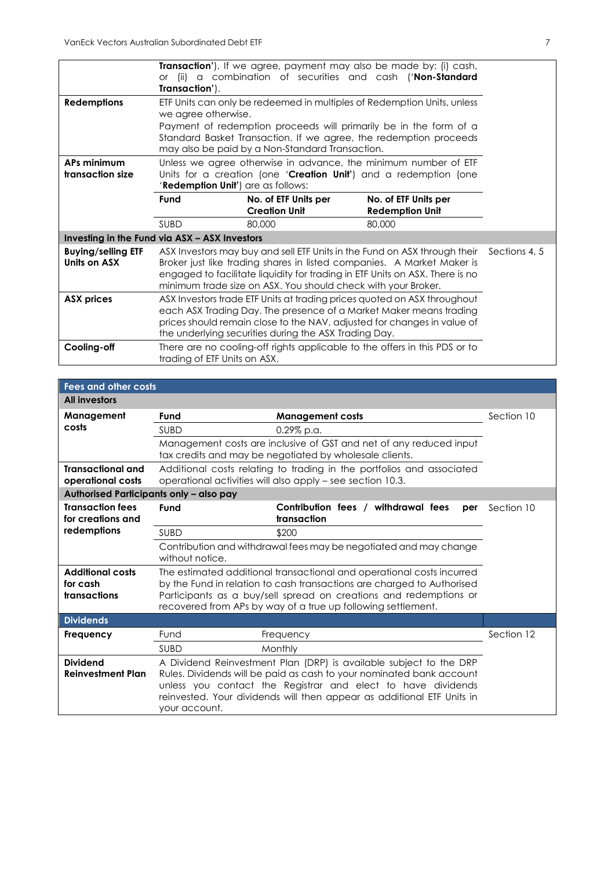| <b>Redemptions</b>                            | Transaction'). If we agree, payment may also be made by: (i) cash,<br>(ii) a combination of securities and cash ('Non-Standard<br><b>or</b><br>Transaction').<br>ETF Units can only be redeemed in multiples of Redemption Units, unless<br>we agree otherwise.<br>Payment of redemption proceeds will primarily be in the form of a<br>Standard Basket Transaction. If we agree, the redemption proceeds<br>may also be paid by a Non-Standard Transaction. |                                                                            |                                                |  |
|-----------------------------------------------|--------------------------------------------------------------------------------------------------------------------------------------------------------------------------------------------------------------------------------------------------------------------------------------------------------------------------------------------------------------------------------------------------------------------------------------------------------------|----------------------------------------------------------------------------|------------------------------------------------|--|
| APs minimum<br>transaction size               | Unless we agree otherwise in advance, the minimum number of ETF<br>Units for a creation (one ' <b>Creation Unit'</b> ) and a redemption (one<br>'Redemption Unit') are as follows:                                                                                                                                                                                                                                                                           |                                                                            |                                                |  |
|                                               | Fund                                                                                                                                                                                                                                                                                                                                                                                                                                                         | No. of ETF Units per<br><b>Creation Unit</b>                               | No. of ETF Units per<br><b>Redemption Unit</b> |  |
|                                               | <b>SUBD</b>                                                                                                                                                                                                                                                                                                                                                                                                                                                  | 80,000                                                                     | 80,000                                         |  |
| Investing in the Fund via ASX - ASX Investors |                                                                                                                                                                                                                                                                                                                                                                                                                                                              |                                                                            |                                                |  |
| <b>Buying/selling ETF</b><br>Units on ASX     | ASX Investors may buy and sell ETF Units in the Fund on ASX through their<br>Sections 4, 5<br>Broker just like trading shares in listed companies. A Market Maker is<br>engaged to facilitate liquidity for trading in ETF Units on ASX. There is no<br>minimum trade size on ASX. You should check with your Broker.                                                                                                                                        |                                                                            |                                                |  |
| <b>ASX prices</b>                             | ASX Investors trade ETF Units at trading prices quoted on ASX throughout<br>each ASX Trading Day. The presence of a Market Maker means trading<br>prices should remain close to the NAV, adjusted for changes in value of<br>the underlying securities during the ASX Trading Day.                                                                                                                                                                           |                                                                            |                                                |  |
| Cooling-off                                   | trading of ETF Units on ASX.                                                                                                                                                                                                                                                                                                                                                                                                                                 | There are no cooling-off rights applicable to the offers in this PDS or to |                                                |  |

| <b>Fees and other costs</b>                   |                                                                                                                                     |                                                                                                                                                                                                                                                                                      |            |  |
|-----------------------------------------------|-------------------------------------------------------------------------------------------------------------------------------------|--------------------------------------------------------------------------------------------------------------------------------------------------------------------------------------------------------------------------------------------------------------------------------------|------------|--|
| <b>All investors</b>                          |                                                                                                                                     |                                                                                                                                                                                                                                                                                      |            |  |
| Management                                    | Fund                                                                                                                                | <b>Management costs</b>                                                                                                                                                                                                                                                              | Section 10 |  |
| costs                                         | <b>SUBD</b>                                                                                                                         | $0.29\%$ p.a.                                                                                                                                                                                                                                                                        |            |  |
|                                               |                                                                                                                                     | Management costs are inclusive of GST and net of any reduced input<br>tax credits and may be negotiated by wholesale clients.                                                                                                                                                        |            |  |
| <b>Transactional and</b><br>operational costs | Additional costs relating to trading in the portfolios and associated<br>operational activities will also apply - see section 10.3. |                                                                                                                                                                                                                                                                                      |            |  |
| Authorised Participants only - also pay       |                                                                                                                                     |                                                                                                                                                                                                                                                                                      |            |  |
| <b>Transaction fees</b><br>for creations and  | Fund                                                                                                                                | Contribution fees / withdrawal fees<br>per<br>transaction                                                                                                                                                                                                                            | Section 10 |  |
| redemptions                                   | <b>SUBD</b>                                                                                                                         | \$200                                                                                                                                                                                                                                                                                |            |  |
|                                               | Contribution and withdrawal fees may be negotiated and may change<br>without notice.                                                |                                                                                                                                                                                                                                                                                      |            |  |
| <b>Additional costs</b>                       |                                                                                                                                     | The estimated additional transactional and operational costs incurred                                                                                                                                                                                                                |            |  |
| for cash<br>transactions                      |                                                                                                                                     | by the Fund in relation to cash transactions are charged to Authorised                                                                                                                                                                                                               |            |  |
|                                               |                                                                                                                                     | Participants as a buy/sell spread on creations and redemptions or<br>recovered from APs by way of a true up following settlement.                                                                                                                                                    |            |  |
| <b>Dividends</b>                              |                                                                                                                                     |                                                                                                                                                                                                                                                                                      |            |  |
| <b>Frequency</b>                              | Fund                                                                                                                                | Frequency                                                                                                                                                                                                                                                                            | Section 12 |  |
|                                               | <b>SUBD</b>                                                                                                                         | Monthly                                                                                                                                                                                                                                                                              |            |  |
| <b>Dividend</b><br><b>Reinvestment Plan</b>   | your account.                                                                                                                       | A Dividend Reinvestment Plan (DRP) is available subject to the DRP<br>Rules. Dividends will be paid as cash to your nominated bank account<br>unless you contact the Registrar and elect to have dividends<br>reinvested. Your dividends will then appear as additional ETF Units in |            |  |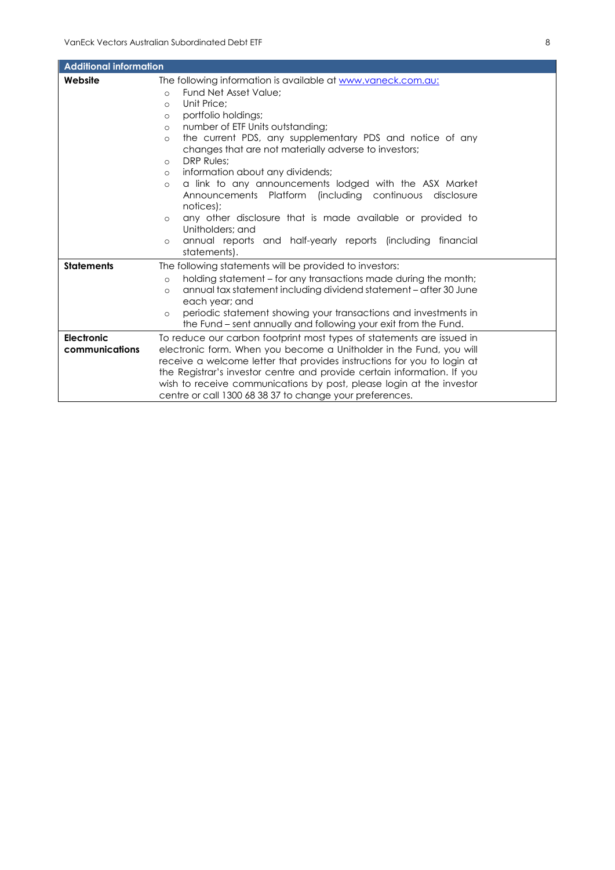| <b>Additional information</b> |                                                                              |  |
|-------------------------------|------------------------------------------------------------------------------|--|
| Website                       | The following information is available at www.vaneck.com.au:                 |  |
|                               | Fund Net Asset Value:<br>$\Omega$                                            |  |
|                               | Unit Price:<br>$\circ$                                                       |  |
|                               | portfolio holdings;<br>$\circ$                                               |  |
|                               | number of ETF Units outstanding;<br>$\circ$                                  |  |
|                               | the current PDS, any supplementary PDS and notice of any<br>$\circ$          |  |
|                               | changes that are not materially adverse to investors;                        |  |
|                               | <b>DRP Rules:</b><br>$\circ$                                                 |  |
|                               | information about any dividends;<br>$\circ$                                  |  |
|                               | a link to any announcements lodged with the ASX Market<br>$\circ$            |  |
|                               | Announcements Platform (including continuous disclosure                      |  |
|                               | notices);                                                                    |  |
|                               | any other disclosure that is made available or provided to<br>$\circ$        |  |
|                               | Unitholders: and                                                             |  |
|                               | annual reports and half-yearly reports (including financial<br>$\circ$       |  |
|                               | statements).                                                                 |  |
| <b>Statements</b>             | The following statements will be provided to investors:                      |  |
|                               | holding statement – for any transactions made during the month;<br>$\circ$   |  |
|                               | annual tax statement including dividend statement – after 30 June<br>$\circ$ |  |
|                               | each year; and                                                               |  |
|                               | periodic statement showing your transactions and investments in<br>$\circ$   |  |
|                               | the Fund – sent annually and following your exit from the Fund.              |  |
| Electronic                    | To reduce our carbon footprint most types of statements are issued in        |  |
| communications                | electronic form. When you become a Unitholder in the Fund, you will          |  |
|                               | receive a welcome letter that provides instructions for you to login at      |  |
|                               | the Registrar's investor centre and provide certain information. If you      |  |
|                               | wish to receive communications by post, please login at the investor         |  |
|                               | centre or call 1300 68 38 37 to change your preferences.                     |  |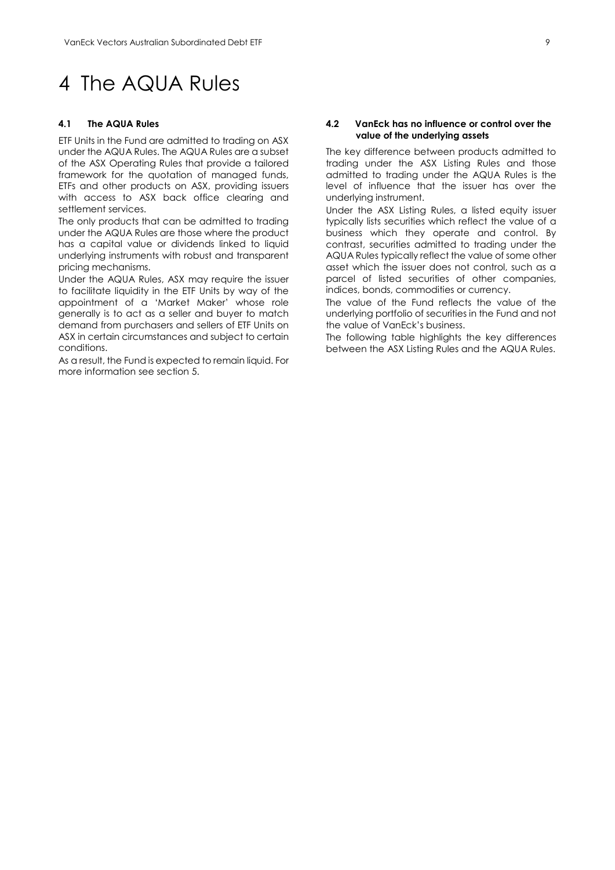### <span id="page-9-0"></span>4 The AQUA Rules

#### **4.1 The AQUA Rules**

ETF Units in the Fund are admitted to trading on ASX under the AQUA Rules. The AQUA Rules are a subset of the ASX Operating Rules that provide a tailored framework for the quotation of managed funds, ETFs and other products on ASX, providing issuers with access to ASX back office clearing and settlement services.

The only products that can be admitted to trading under the AQUA Rules are those where the product has a capital value or dividends linked to liquid underlying instruments with robust and transparent pricing mechanisms.

Under the AQUA Rules, ASX may require the issuer to facilitate liquidity in the ETF Units by way of the appointment of a 'Market Maker' whose role generally is to act as a seller and buyer to match demand from purchasers and sellers of ETF Units on ASX in certain circumstances and subject to certain conditions.

As a result, the Fund is expected to remain liquid. For more information see section 5.

#### **4.2 VanEck has no influence or control over the value of the underlying assets**

The key difference between products admitted to trading under the ASX Listing Rules and those admitted to trading under the AQUA Rules is the level of influence that the issuer has over the underlying instrument.

Under the ASX Listing Rules, a listed equity issuer typically lists securities which reflect the value of a business which they operate and control. By contrast, securities admitted to trading under the AQUA Rules typically reflect the value of some other asset which the issuer does not control, such as a parcel of listed securities of other companies, indices, bonds, commodities or currency.

The value of the Fund reflects the value of the underlying portfolio of securities in the Fund and not the value of VanEck's business.

The following table highlights the key differences between the ASX Listing Rules and the AQUA Rules.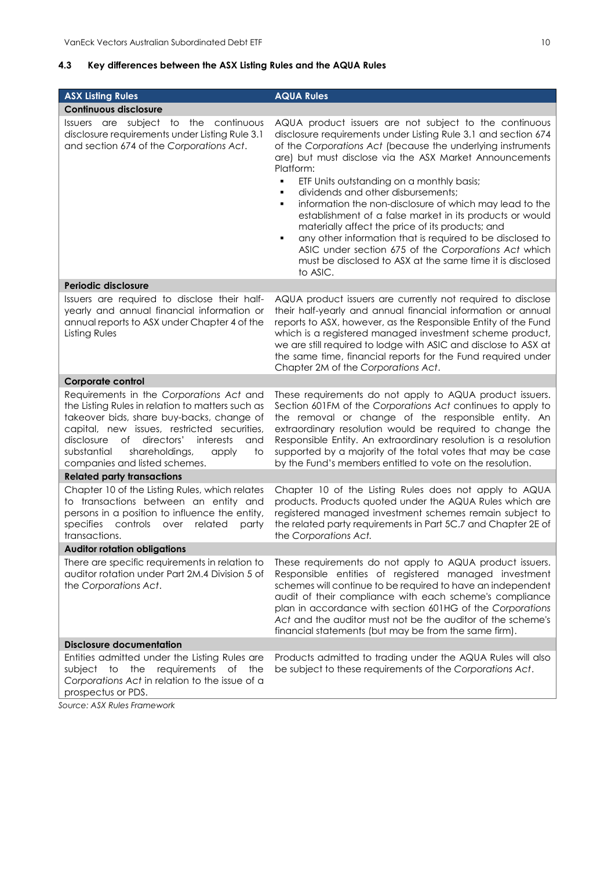#### **4.3 Key differences between the ASX Listing Rules and the AQUA Rules**

| <b>ASX Listing Rules</b>                                                                                                                                                                                                                                                                                                        | <b>AQUA Rules</b>                                                                                                                                                                                                                                                                                                                                                                                                                                                                                                                                                                                                                                                                                                                               |  |  |
|---------------------------------------------------------------------------------------------------------------------------------------------------------------------------------------------------------------------------------------------------------------------------------------------------------------------------------|-------------------------------------------------------------------------------------------------------------------------------------------------------------------------------------------------------------------------------------------------------------------------------------------------------------------------------------------------------------------------------------------------------------------------------------------------------------------------------------------------------------------------------------------------------------------------------------------------------------------------------------------------------------------------------------------------------------------------------------------------|--|--|
| <b>Continuous disclosure</b>                                                                                                                                                                                                                                                                                                    |                                                                                                                                                                                                                                                                                                                                                                                                                                                                                                                                                                                                                                                                                                                                                 |  |  |
| Issuers are subject to the continuous<br>disclosure requirements under Listing Rule 3.1<br>and section 674 of the Corporations Act.                                                                                                                                                                                             | AQUA product issuers are not subject to the continuous<br>disclosure requirements under Listing Rule 3.1 and section 674<br>of the Corporations Act (because the underlying instruments<br>are) but must disclose via the ASX Market Announcements<br>Platform:<br>٠<br>ETF Units outstanding on a monthly basis;<br>dividends and other disbursements;<br>٠<br>information the non-disclosure of which may lead to the<br>٠<br>establishment of a false market in its products or would<br>materially affect the price of its products; and<br>any other information that is required to be disclosed to<br>٠<br>ASIC under section 675 of the Corporations Act which<br>must be disclosed to ASX at the same time it is disclosed<br>to ASIC. |  |  |
| <b>Periodic disclosure</b>                                                                                                                                                                                                                                                                                                      |                                                                                                                                                                                                                                                                                                                                                                                                                                                                                                                                                                                                                                                                                                                                                 |  |  |
| Issuers are required to disclose their half-<br>yearly and annual financial information or<br>annual reports to ASX under Chapter 4 of the<br>Listing Rules                                                                                                                                                                     | AQUA product issuers are currently not required to disclose<br>their half-yearly and annual financial information or annual<br>reports to ASX, however, as the Responsible Entity of the Fund<br>which is a registered managed investment scheme product,<br>we are still required to lodge with ASIC and disclose to ASX at<br>the same time, financial reports for the Fund required under<br>Chapter 2M of the Corporations Act.                                                                                                                                                                                                                                                                                                             |  |  |
| Corporate control                                                                                                                                                                                                                                                                                                               |                                                                                                                                                                                                                                                                                                                                                                                                                                                                                                                                                                                                                                                                                                                                                 |  |  |
| Requirements in the Corporations Act and<br>the Listing Rules in relation to matters such as<br>takeover bids, share buy-backs, change of<br>capital, new issues, restricted securities,<br>disclosure<br>of<br>directors'<br>interests<br>and<br>shareholdings,<br>substantial<br>apply<br>to<br>companies and listed schemes. | These requirements do not apply to AQUA product issuers.<br>Section 601FM of the Corporations Act continues to apply to<br>the removal or change of the responsible entity. An<br>extraordinary resolution would be required to change the<br>Responsible Entity. An extraordinary resolution is a resolution<br>supported by a majority of the total votes that may be case<br>by the Fund's members entitled to vote on the resolution.                                                                                                                                                                                                                                                                                                       |  |  |
| <b>Related party transactions</b>                                                                                                                                                                                                                                                                                               |                                                                                                                                                                                                                                                                                                                                                                                                                                                                                                                                                                                                                                                                                                                                                 |  |  |
| Chapter 10 of the Listing Rules, which relates<br>to transactions between an entity and<br>persons in a position to influence the entity,<br>specifies controls<br>related<br>over<br>party<br>transactions.                                                                                                                    | Chapter 10 of the Listing Rules does not apply to AQUA<br>products. Products quoted under the AQUA Rules which are<br>registered managed investment schemes remain subject to<br>the related party requirements in Part 5C.7 and Chapter 2E of<br>the Corporations Act.                                                                                                                                                                                                                                                                                                                                                                                                                                                                         |  |  |
| <b>Auditor rotation obligations</b>                                                                                                                                                                                                                                                                                             |                                                                                                                                                                                                                                                                                                                                                                                                                                                                                                                                                                                                                                                                                                                                                 |  |  |
| There are specific requirements in relation to<br>auditor rotation under Part 2M.4 Division 5 of<br>the Corporations Act.                                                                                                                                                                                                       | These requirements do not apply to AQUA product issuers.<br>Responsible entities of registered managed investment<br>schemes will continue to be required to have an independent<br>audit of their compliance with each scheme's compliance<br>plan in accordance with section 601HG of the Corporations<br>Act and the auditor must not be the auditor of the scheme's<br>financial statements (but may be from the same firm).                                                                                                                                                                                                                                                                                                                |  |  |
| <b>Disclosure documentation</b>                                                                                                                                                                                                                                                                                                 |                                                                                                                                                                                                                                                                                                                                                                                                                                                                                                                                                                                                                                                                                                                                                 |  |  |
| Entities admitted under the Listing Rules are<br>requirements<br>to<br>the<br>of<br>the<br>subject<br>Corporations Act in relation to the issue of a<br>prospectus or PDS.<br>Course: ACV Pulse Framound                                                                                                                        | Products admitted to trading under the AQUA Rules will also<br>be subject to these requirements of the Corporations Act.                                                                                                                                                                                                                                                                                                                                                                                                                                                                                                                                                                                                                        |  |  |

*Source: ASX Rules Framework*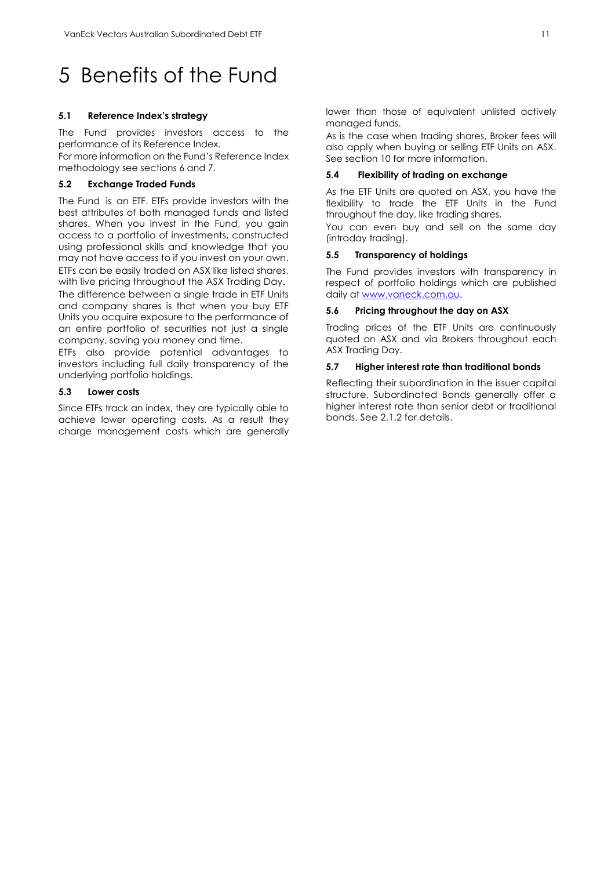### <span id="page-11-0"></span>5 Benefits of the Fund

#### **5.1 Reference Index's strategy**

The Fund provides investors access to the performance of its Reference Index.

For more information on the Fund's Reference Index methodology see sections 6 and 7.

#### **5.2 Exchange Traded Funds**

The Fund is an ETF. ETFs provide investors with the best attributes of both managed funds and listed shares. When you invest in the Fund, you gain access to a portfolio of investments, constructed using professional skills and knowledge that you may not have access to if you invest on your own. ETFs can be easily traded on ASX like listed shares, with live pricing throughout the ASX Trading Day. The difference between a single trade in ETF Units and company shares is that when you buy ETF Units you acquire exposure to the performance of an entire portfolio of securities not just a single company, saving you money and time.

ETFs also provide potential advantages to investors including full daily transparency of the underlying portfolio holdings.

#### **5.3 Lower costs**

Since ETFs track an index, they are typically able to achieve lower operating costs. As a result they charge management costs which are generally lower than those of equivalent unlisted actively managed funds.

As is the case when trading shares, Broker fees will also apply when buying or selling ETF Units on ASX. See section 10 for more information.

#### **5.4 Flexibility of trading on exchange**

As the ETF Units are quoted on ASX, you have the flexibility to trade the ETF Units in the Fund throughout the day, like trading shares.

You can even buy and sell on the same day (intraday trading).

#### **5.5 Transparency of holdings**

The Fund provides investors with transparency in respect of portfolio holdings which are published daily a[t www.vaneck.com.au.](http://www.vaneck.com.au/)

#### **5.6 Pricing throughout the day on ASX**

Trading prices of the ETF Units are continuously quoted on ASX and via Brokers throughout each ASX Trading Day.

#### **5.7 Higher interest rate than traditional bonds**

Reflecting their subordination in the issuer capital structure, Subordinated Bonds generally offer a higher interest rate than senior debt or traditional bonds. See 2.1.2 for details.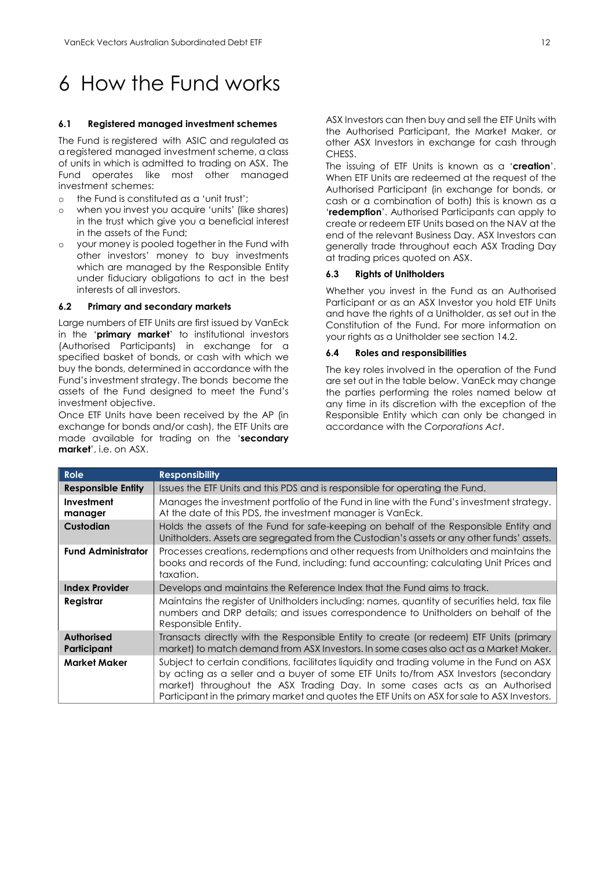## <span id="page-12-0"></span>6 How the Fund works

#### **6.1 Registered managed investment schemes**

The Fund is registered with ASIC and regulated as a registered managed investment scheme, a class of units in which is admitted to trading on ASX. The Fund operates like most other managed investment schemes:

- o the Fund is constituted as a 'unit trust';
- o when you invest you acquire 'units' (like shares) in the trust which give you a beneficial interest in the assets of the Fund;
- o your money is pooled together in the Fund with other investors' money to buy investments which are managed by the Responsible Entity under fiduciary obligations to act in the best interests of all investors.

#### **6.2 Primary and secondary markets**

Large numbers of ETF Units are first issued by VanEck in the '**primary market**' to institutional investors (Authorised Participants) in exchange for a specified basket of bonds, or cash with which we buy the bonds, determined in accordance with the Fund's investment strategy. The bonds become the assets of the Fund designed to meet the Fund's investment objective.

Once ETF Units have been received by the AP (in exchange for bonds and/or cash), the ETF Units are made available for trading on the '**secondary market**', i.e. on ASX.

ASX Investors can then buy and sell the ETF Units with the Authorised Participant, the Market Maker, or other ASX Investors in exchange for cash through CHESS.

The issuing of ETF Units is known as a '**creation**'. When ETF Units are redeemed at the request of the Authorised Participant (in exchange for bonds, or cash or a combination of both) this is known as a '**redemption**'. Authorised Participants can apply to create or redeem ETF Units based on the NAV at the end of the relevant Business Day. ASX Investors can generally trade throughout each ASX Trading Day at trading prices quoted on ASX.

#### **6.3 Rights of Unitholders**

Whether you invest in the Fund as an Authorised Participant or as an ASX Investor you hold ETF Units and have the rights of a Unitholder, as set out in the Constitution of the Fund. For more information on your rights as a Unitholder see section 14.2.

#### **6.4 Roles and responsibilities**

The key roles involved in the operation of the Fund are set out in the table below. VanEck may change the parties performing the roles named below at any time in its discretion with the exception of the Responsible Entity which can only be changed in accordance with the *Corporations Act*.

| Role                             | <b>Responsibility</b>                                                                                                                                                                                                                                                                                                                                             |
|----------------------------------|-------------------------------------------------------------------------------------------------------------------------------------------------------------------------------------------------------------------------------------------------------------------------------------------------------------------------------------------------------------------|
| <b>Responsible Entity</b>        | Issues the ETF Units and this PDS and is responsible for operating the Fund.                                                                                                                                                                                                                                                                                      |
| Investment<br>manager            | Manages the investment portfolio of the Fund in line with the Fund's investment strategy.<br>At the date of this PDS, the investment manager is VanEck.                                                                                                                                                                                                           |
| <b>Custodian</b>                 | Holds the assets of the Fund for safe-keeping on behalf of the Responsible Entity and<br>Unitholders. Assets are segregated from the Custodian's assets or any other funds' assets.                                                                                                                                                                               |
| <b>Fund Administrator</b>        | Processes creations, redemptions and other requests from Unitholders and maintains the<br>books and records of the Fund, including: fund accounting; calculating Unit Prices and<br>taxation.                                                                                                                                                                     |
| <b>Index Provider</b>            | Develops and maintains the Reference Index that the Fund aims to track.                                                                                                                                                                                                                                                                                           |
| Registrar                        | Maintains the register of Unitholders including; names, quantity of securities held, tax file<br>numbers and DRP details; and issues correspondence to Unitholders on behalf of the<br>Responsible Entity.                                                                                                                                                        |
| <b>Authorised</b><br>Participant | Transacts directly with the Responsible Entity to create (or redeem) ETF Units (primary<br>market) to match demand from ASX Investors. In some cases also act as a Market Maker.                                                                                                                                                                                  |
| <b>Market Maker</b>              | Subject to certain conditions, facilitates liquidity and trading volume in the Fund on ASX<br>by acting as a seller and a buyer of some ETF Units to/from ASX Investors (secondary<br>market) throughout the ASX Trading Day. In some cases acts as an Authorised<br>Participant in the primary market and quotes the ETF Units on ASX for sale to ASX Investors. |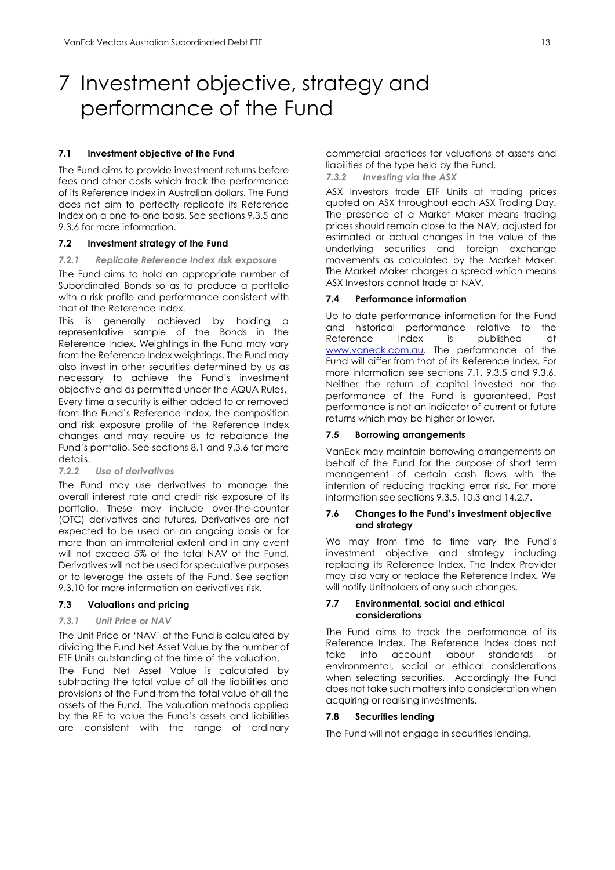### <span id="page-13-0"></span>7 Investment objective, strategy and performance of the Fund

#### **7.1 Investment objective of the Fund**

The Fund aims to provide investment returns before fees and other costs which track the performance of its Reference Index in Australian dollars. The Fund does not aim to perfectly replicate its Reference Index on a one-to-one basis. See sections 9.3.5 and 9.3.6 for more information.

#### **7.2 Investment strategy of the Fund**

#### *7.2.1 Replicate Reference Index risk exposure*

The Fund aims to hold an appropriate number of Subordinated Bonds so as to produce a portfolio with a risk profile and performance consistent with that of the Reference Index.

This is generally achieved by holding a representative sample of the Bonds in the Reference Index. Weightings in the Fund may vary from the Reference Index weightings. The Fund may also invest in other securities determined by us as necessary to achieve the Fund's investment objective and as permitted under the AQUA Rules. Every time a security is either added to or removed from the Fund's Reference Index, the composition and risk exposure profile of the Reference Index changes and may require us to rebalance the Fund's portfolio. See sections 8.1 and 9.3.6 for more details.

#### *7.2.2 Use of derivatives*

The Fund may use derivatives to manage the overall interest rate and credit risk exposure of its portfolio. These may include over-the-counter (OTC) derivatives and futures. Derivatives are not expected to be used on an ongoing basis or for more than an immaterial extent and in any event will not exceed 5% of the total NAV of the Fund. Derivatives will not be used for speculative purposes or to leverage the assets of the Fund. See section 9.3.10 for more information on derivatives risk.

#### **7.3 Valuations and pricing**

#### *7.3.1 Unit Price or NAV*

The Unit Price or 'NAV' of the Fund is calculated by dividing the Fund Net Asset Value by the number of ETF Units outstanding at the time of the valuation.

The Fund Net Asset Value is calculated by subtracting the total value of all the liabilities and provisions of the Fund from the total value of all the assets of the Fund. The valuation methods applied by the RE to value the Fund's assets and liabilities are consistent with the range of ordinary commercial practices for valuations of assets and liabilities of the type held by the Fund.

#### *7.3.2 Investing via the ASX*

ASX Investors trade ETF Units at trading prices quoted on ASX throughout each ASX Trading Day. The presence of a Market Maker means trading prices should remain close to the NAV, adjusted for estimated or actual changes in the value of the underlying securities and foreign exchange movements as calculated by the Market Maker. The Market Maker charges a spread which means ASX Investors cannot trade at NAV.

#### **7.4 Performance information**

Up to date performance information for the Fund and historical performance relative to the Reference Index is published at [www.vaneck.com.au.](http://www.vaneck.com.au/) The performance of the Fund will differ from that of its Reference Index. For more information see sections 7.1, 9.3.5 and 9.3.6. Neither the return of capital invested nor the performance of the Fund is guaranteed. Past performance is not an indicator of current or future returns which may be higher or lower.

#### **7.5 Borrowing arrangements**

VanEck may maintain borrowing arrangements on behalf of the Fund for the purpose of short term management of certain cash flows with the intention of reducing tracking error risk. For more information see sections 9.3.5, 10.3 and 14.2.7.

#### **7.6 Changes to the Fund's investment objective and strategy**

We may from time to time vary the Fund's investment objective and strategy including replacing its Reference Index. The Index Provider may also vary or replace the Reference Index. We will notify Unitholders of any such changes.

#### **7.7 Environmental, social and ethical considerations**

The Fund aims to track the performance of its Reference Index. The Reference Index does not take into account labour standards or environmental, social or ethical considerations when selecting securities. Accordingly the Fund does not take such matters into consideration when acquiring or realising investments.

#### **7.8 Securities lending**

The Fund will not engage in securities lending.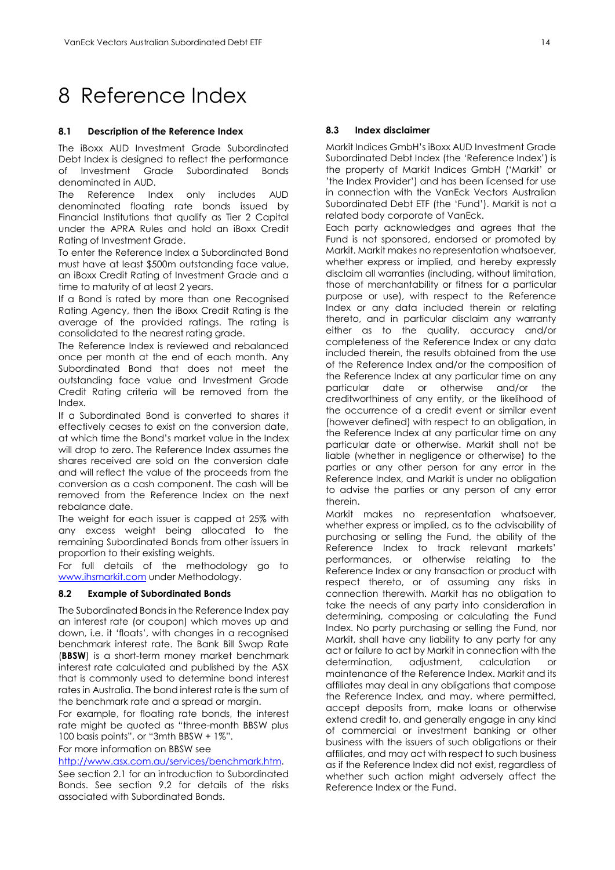### <span id="page-14-0"></span>8 Reference Index

#### **8.1 Description of the Reference Index**

The iBoxx AUD Investment Grade Subordinated Debt Index is designed to reflect the performance of Investment Grade Subordinated Bonds denominated in AUD.

The Reference Index only includes AUD denominated floating rate bonds issued by Financial Institutions that qualify as Tier 2 Capital under the APRA Rules and hold an iBoxx Credit Rating of Investment Grade.

To enter the Reference Index a Subordinated Bond must have at least \$500m outstanding face value, an iBoxx Credit Rating of Investment Grade and a time to maturity of at least 2 years.

If a Bond is rated by more than one Recognised Rating Agency, then the iBoxx Credit Rating is the average of the provided ratings. The rating is consolidated to the nearest rating grade.

The Reference Index is reviewed and rebalanced once per month at the end of each month. Any Subordinated Bond that does not meet the outstanding face value and Investment Grade Credit Rating criteria will be removed from the Index.

If a Subordinated Bond is converted to shares it effectively ceases to exist on the conversion date, at which time the Bond's market value in the Index will drop to zero. The Reference Index assumes the shares received are sold on the conversion date and will reflect the value of the proceeds from the conversion as a cash component. The cash will be removed from the Reference Index on the next rebalance date.

The weight for each issuer is capped at 25% with any excess weight being allocated to the remaining Subordinated Bonds from other issuers in proportion to their existing weights.

For full details of the methodology go to [www.ihsmarkit.com](http://www.ihsmarkit.com/) under Methodology.

#### **8.2 Example of Subordinated Bonds**

The Subordinated Bonds in the Reference Index pay an interest rate (or coupon) which moves up and down, i.e. it 'floats', with changes in a recognised benchmark interest rate. The Bank Bill Swap Rate (**BBSW**) is a short-term money market benchmark interest rate calculated and published by the ASX that is commonly used to determine bond interest rates in Australia. The bond interest rate is the sum of the benchmark rate and a spread or margin.

For example, for floating rate bonds, the interest rate might be quoted as "three-month BBSW plus 100 basis points", or "3mth BBSW + 1%".

For more information on BBSW see

[http://www.asx.com.au/services/benchmark.htm.](http://www.asx.com.au/services/benchmark.htm)

See section 2.1 for an introduction to Subordinated Bonds. See section 9.2 for details of the risks associated with Subordinated Bonds.

#### **8.3 Index disclaimer**

Markit Indices GmbH's iBoxx AUD Investment Grade Subordinated Debt Index (the 'Reference Index') is the property of Markit Indices GmbH ('Markit' or 'the Index Provider') and has been licensed for use in connection with the VanEck Vectors Australian Subordinated Debt ETF (the 'Fund'). Markit is not a related body corporate of VanEck.

Each party acknowledges and agrees that the Fund is not sponsored, endorsed or promoted by Markit. Markit makes no representation whatsoever, whether express or implied, and hereby expressly disclaim all warranties (including, without limitation, those of merchantability or fitness for a particular purpose or use), with respect to the Reference Index or any data included therein or relating thereto, and in particular disclaim any warranty either as to the quality, accuracy and/or completeness of the Reference Index or any data included therein, the results obtained from the use of the Reference Index and/or the composition of the Reference Index at any particular time on any particular date or otherwise and/or the creditworthiness of any entity, or the likelihood of the occurrence of a credit event or similar event (however defined) with respect to an obligation, in the Reference Index at any particular time on any particular date or otherwise. Markit shall not be liable (whether in negligence or otherwise) to the parties or any other person for any error in the Reference Index, and Markit is under no obligation to advise the parties or any person of any error therein.

Markit makes no representation whatsoever, whether express or implied, as to the advisability of purchasing or selling the Fund, the ability of the Reference Index to track relevant markets' performances, or otherwise relating to the Reference Index or any transaction or product with respect thereto, or of assuming any risks in connection therewith. Markit has no obligation to take the needs of any party into consideration in determining, composing or calculating the Fund Index. No party purchasing or selling the Fund, nor Markit, shall have any liability to any party for any act or failure to act by Markit in connection with the determination, adjustment, calculation or maintenance of the Reference Index. Markit and its affiliates may deal in any obligations that compose the Reference Index, and may, where permitted, accept deposits from, make loans or otherwise extend credit to, and generally engage in any kind of commercial or investment banking or other business with the issuers of such obligations or their affiliates, and may act with respect to such business as if the Reference Index did not exist, regardless of whether such action might adversely affect the Reference Index or the Fund.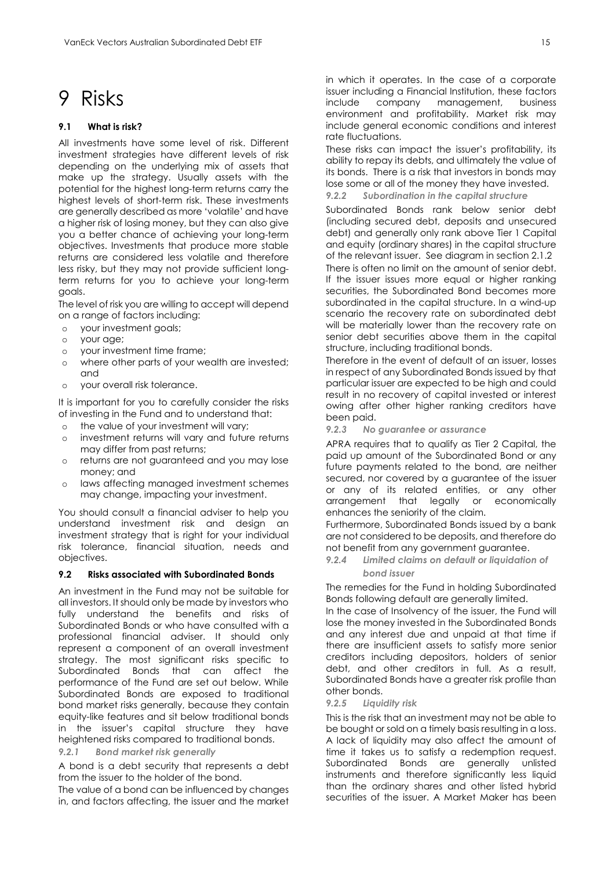## <span id="page-15-0"></span>9 Risks

#### **9.1 What is risk?**

All investments have some level of risk. Different investment strategies have different levels of risk depending on the underlying mix of assets that make up the strategy. Usually assets with the potential for the highest long-term returns carry the highest levels of short-term risk. These investments are generally described as more 'volatile' and have a higher risk of losing money, but they can also give you a better chance of achieving your long-term objectives. Investments that produce more stable returns are considered less volatile and therefore less risky, but they may not provide sufficient longterm returns for you to achieve your long-term goals.

The level of risk you are willing to accept will depend on a range of factors including:

- o your investment goals;
- o your age;
- o your investment time frame;
- o where other parts of your wealth are invested; and
- o your overall risk tolerance.

It is important for you to carefully consider the risks of investing in the Fund and to understand that:

- o the value of your investment will vary;<br>o investment returns will vary and future
- investment returns will vary and future returns may differ from past returns;
- o returns are not guaranteed and you may lose money; and
- o laws affecting managed investment schemes may change, impacting your investment.

You should consult a financial adviser to help you understand investment risk and design an investment strategy that is right for your individual risk tolerance, financial situation, needs and objectives.

#### **9.2 Risks associated with Subordinated Bonds**

An investment in the Fund may not be suitable for all investors. It should only be made by investors who fully understand the benefits and risks of Subordinated Bonds or who have consulted with a professional financial adviser. It should only represent a component of an overall investment strategy. The most significant risks specific to Subordinated Bonds that can affect the performance of the Fund are set out below. While Subordinated Bonds are exposed to traditional bond market risks generally, because they contain equity-like features and sit below traditional bonds in the issuer's capital structure they have heightened risks compared to traditional bonds.

*9.2.1 Bond market risk generally*

A bond is a debt security that represents a debt from the issuer to the holder of the bond.

The value of a bond can be influenced by changes in, and factors affecting, the issuer and the market

in which it operates. In the case of a corporate issuer including a Financial Institution, these factors include company management, business environment and profitability. Market risk may include general economic conditions and interest rate fluctuations.

These risks can impact the issuer's profitability, its ability to repay its debts, and ultimately the value of its bonds. There is a risk that investors in bonds may lose some or all of the money they have invested. *9.2.2 Subordination in the capital structure*

Subordinated Bonds rank below senior debt (including secured debt, deposits and unsecured debt) and generally only rank above Tier 1 Capital and equity (ordinary shares) in the capital structure of the relevant issuer. See diagram in section 2.1.2

There is often no limit on the amount of senior debt. If the issuer issues more equal or higher ranking securities, the Subordinated Bond becomes more subordinated in the capital structure. In a wind-up scenario the recovery rate on subordinated debt will be materially lower than the recovery rate on senior debt securities above them in the capital structure, including traditional bonds.

Therefore in the event of default of an issuer, losses in respect of any Subordinated Bonds issued by that particular issuer are expected to be high and could result in no recovery of capital invested or interest owing after other higher ranking creditors have been paid.

*9.2.3 No guarantee or assurance*

APRA requires that to qualify as Tier 2 Capital, the paid up amount of the Subordinated Bond or any future payments related to the bond, are neither secured, nor covered by a guarantee of the issuer or any of its related entities, or any other arrangement that legally or economically enhances the seniority of the claim.

Furthermore, Subordinated Bonds issued by a bank are not considered to be deposits, and therefore do not benefit from any government guarantee.

*9.2.4 Limited claims on default or liquidation of bond issuer*

The remedies for the Fund in holding Subordinated Bonds following default are generally limited.

In the case of Insolvency of the issuer, the Fund will lose the money invested in the Subordinated Bonds and any interest due and unpaid at that time if there are insufficient assets to satisfy more senior creditors including depositors, holders of senior debt, and other creditors in full. As a result, Subordinated Bonds have a greater risk profile than other bonds.

*9.2.5 Liquidity risk*

This is the risk that an investment may not be able to be bought or sold on a timely basis resulting in a loss. A lack of liquidity may also affect the amount of time it takes us to satisfy a redemption request. Subordinated Bonds are generally unlisted instruments and therefore significantly less liquid than the ordinary shares and other listed hybrid securities of the issuer. A Market Maker has been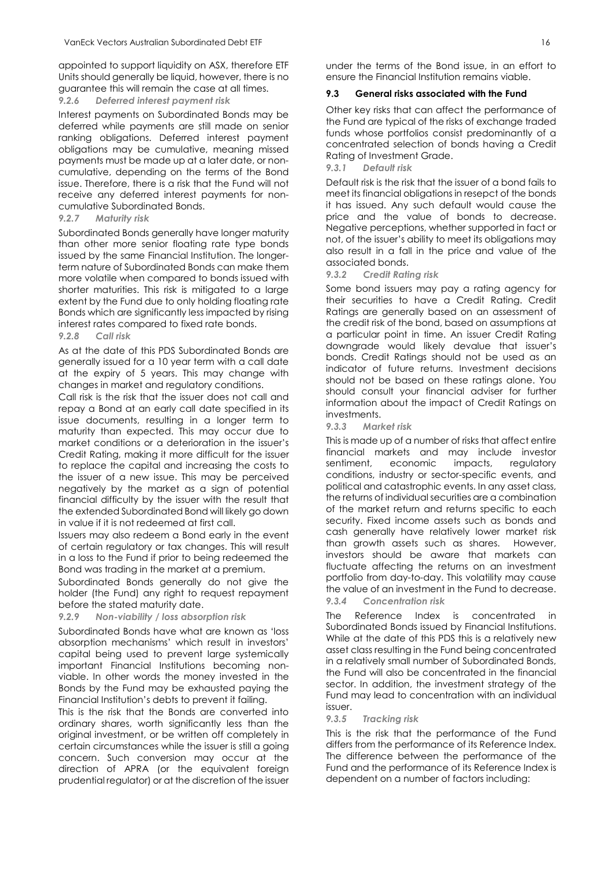appointed to support liquidity on ASX, therefore ETF Units should generally be liquid, however, there is no guarantee this will remain the case at all times.

#### *9.2.6 Deferred interest payment risk*

Interest payments on Subordinated Bonds may be deferred while payments are still made on senior ranking obligations. Deferred interest payment obligations may be cumulative, meaning missed payments must be made up at a later date, or noncumulative, depending on the terms of the Bond issue. Therefore, there is a risk that the Fund will not receive any deferred interest payments for noncumulative Subordinated Bonds.

#### *9.2.7 Maturity risk*

Subordinated Bonds generally have longer maturity than other more senior floating rate type bonds issued by the same Financial Institution. The longerterm nature of Subordinated Bonds can make them more volatile when compared to bonds issued with shorter maturities. This risk is mitigated to a large extent by the Fund due to only holding floating rate Bonds which are significantly less impacted by rising interest rates compared to fixed rate bonds.

#### *9.2.8 Call risk*

As at the date of this PDS Subordinated Bonds are generally issued for a 10 year term with a call date at the expiry of 5 years. This may change with changes in market and regulatory conditions.

Call risk is the risk that the issuer does not call and repay a Bond at an early call date specified in its issue documents, resulting in a longer term to maturity than expected. This may occur due to market conditions or a deterioration in the issuer's Credit Rating, making it more difficult for the issuer to replace the capital and increasing the costs to the issuer of a new issue. This may be perceived negatively by the market as a sign of potential financial difficulty by the issuer with the result that the extended Subordinated Bond will likely go down in value if it is not redeemed at first call.

Issuers may also redeem a Bond early in the event of certain regulatory or tax changes. This will result in a loss to the Fund if prior to being redeemed the Bond was trading in the market at a premium.

Subordinated Bonds generally do not give the holder (the Fund) any right to request repayment before the stated maturity date.

#### *9.2.9 Non-viability / loss absorption risk*

Subordinated Bonds have what are known as 'loss absorption mechanisms' which result in investors' capital being used to prevent large systemically important Financial Institutions becoming nonviable. In other words the money invested in the Bonds by the Fund may be exhausted paying the Financial Institution's debts to prevent it failing.

This is the risk that the Bonds are converted into ordinary shares, worth significantly less than the original investment, or be written off completely in certain circumstances while the issuer is still a going concern. Such conversion may occur at the direction of APRA (or the equivalent foreign prudential regulator) or at the discretion of the issuer

under the terms of the Bond issue, in an effort to ensure the Financial Institution remains viable.

#### **9.3 General risks associated with the Fund**

Other key risks that can affect the performance of the Fund are typical of the risks of exchange traded funds whose portfolios consist predominantly of a concentrated selection of bonds having a Credit Rating of Investment Grade.

#### *9.3.1 Default risk*

Default risk is the risk that the issuer of a bond fails to meet its financial obligations in resepct of the bonds it has issued. Any such default would cause the price and the value of bonds to decrease. Negative perceptions, whether supported in fact or not, of the issuer's ability to meet its obligations may also result in a fall in the price and value of the associated bonds.

#### *9.3.2 Credit Rating risk*

Some bond issuers may pay a rating agency for their securities to have a Credit Rating. Credit Ratings are generally based on an assessment of the credit risk of the bond, based on assumptions at a particular point in time. An issuer Credit Rating downgrade would likely devalue that issuer's bonds. Credit Ratings should not be used as an indicator of future returns. Investment decisions should not be based on these ratings alone. You should consult your financial adviser for further information about the impact of Credit Ratings on investments.

#### *9.3.3 Market risk*

This is made up of a number of risks that affect entire financial markets and may include investor sentiment, economic impacts, regulatory conditions, industry or sector-specific events, and political and catastrophic events. In any asset class, the returns of individual securities are a combination of the market return and returns specific to each security. Fixed income assets such as bonds and cash generally have relatively lower market risk than growth assets such as shares. However, investors should be aware that markets can fluctuate affecting the returns on an investment portfolio from day-to-day. This volatility may cause the value of an investment in the Fund to decrease.

#### *9.3.4 Concentration risk*

The Reference Index is concentrated in Subordinated Bonds issued by Financial Institutions. While at the date of this PDS this is a relatively new asset class resulting in the Fund being concentrated in a relatively small number of Subordinated Bonds, the Fund will also be concentrated in the financial sector. In addition, the investment strategy of the Fund may lead to concentration with an individual issuer.

#### *9.3.5 Tracking risk*

This is the risk that the performance of the Fund differs from the performance of its Reference Index. The difference between the performance of the Fund and the performance of its Reference Index is dependent on a number of factors including: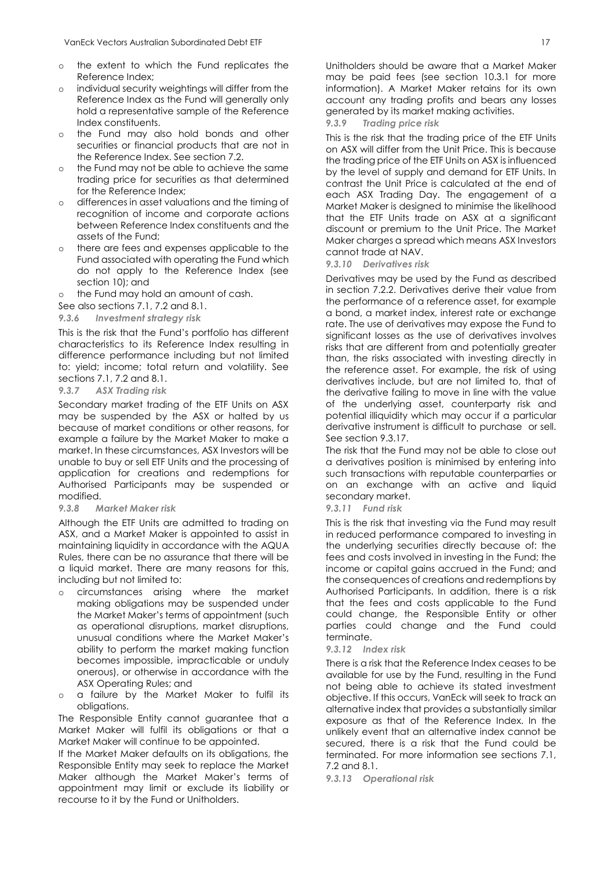- o the extent to which the Fund replicates the Reference Index;
- o individual security weightings will differ from the Reference Index as the Fund will generally only hold a representative sample of the Reference Index constituents.
- o the Fund may also hold bonds and other securities or financial products that are not in the Reference Index. See section 7.2.
- o the Fund may not be able to achieve the same trading price for securities as that determined for the Reference Index;
- o differences in asset valuations and the timing of recognition of income and corporate actions between Reference Index constituents and the assets of the Fund;
- o there are fees and expenses applicable to the Fund associated with operating the Fund which do not apply to the Reference Index (see section 10); and
- o the Fund may hold an amount of cash.

See also sections 7.1, 7.2 and 8.1.

*9.3.6 Investment strategy risk*

This is the risk that the Fund's portfolio has different characteristics to its Reference Index resulting in difference performance including but not limited to: yield; income; total return and volatility. See sections 7.1, 7.2 and 8.1.

#### *9.3.7 ASX Trading risk*

Secondary market trading of the ETF Units on ASX may be suspended by the ASX or halted by us because of market conditions or other reasons, for example a failure by the Market Maker to make a market. In these circumstances, ASX Investors will be unable to buy or sell ETF Units and the processing of application for creations and redemptions for Authorised Participants may be suspended or modified.

#### *9.3.8 Market Maker risk*

Although the ETF Units are admitted to trading on ASX, and a Market Maker is appointed to assist in maintaining liquidity in accordance with the AQUA Rules, there can be no assurance that there will be a liquid market. There are many reasons for this, including but not limited to:

- o circumstances arising where the market making obligations may be suspended under the Market Maker's terms of appointment (such as operational disruptions, market disruptions, unusual conditions where the Market Maker's ability to perform the market making function becomes impossible, impracticable or unduly onerous), or otherwise in accordance with the ASX Operating Rules; and
- o a failure by the Market Maker to fulfil its obligations.

The Responsible Entity cannot guarantee that a Market Maker will fulfil its obligations or that a Market Maker will continue to be appointed.

If the Market Maker defaults on its obligations, the Responsible Entity may seek to replace the Market Maker although the Market Maker's terms of appointment may limit or exclude its liability or recourse to it by the Fund or Unitholders.

Unitholders should be aware that a Market Maker may be paid fees (see section 10.3.1 for more information). A Market Maker retains for its own account any trading profits and bears any losses generated by its market making activities.

*9.3.9 Trading price risk*

This is the risk that the trading price of the ETF Units on ASX will differ from the Unit Price. This is because the trading price of the ETF Units on ASX is influenced by the level of supply and demand for ETF Units. In contrast the Unit Price is calculated at the end of each ASX Trading Day. The engagement of a Market Maker is designed to minimise the likelihood that the ETF Units trade on ASX at a significant discount or premium to the Unit Price. The Market Maker charges a spread which means ASX Investors cannot trade at NAV.

*9.3.10 Derivatives risk*

Derivatives may be used by the Fund as described in section 7.2.2. Derivatives derive their value from the performance of a reference asset, for example a bond, a market index, interest rate or exchange rate. The use of derivatives may expose the Fund to significant losses as the use of derivatives involves risks that are different from and potentially greater than, the risks associated with investing directly in the reference asset. For example, the risk of using derivatives include, but are not limited to, that of the derivative failing to move in line with the value of the underlying asset, counterparty risk and potential illiquidity which may occur if a particular derivative instrument is difficult to purchase or sell. See section 9.3.17.

The risk that the Fund may not be able to close out a derivatives position is minimised by entering into such transactions with reputable counterparties or on an exchange with an active and liquid secondary market.

#### *9.3.11 Fund risk*

This is the risk that investing via the Fund may result in reduced performance compared to investing in the underlying securities directly because of: the fees and costs involved in investing in the Fund; the income or capital gains accrued in the Fund; and the consequences of creations and redemptions by Authorised Participants. In addition, there is a risk that the fees and costs applicable to the Fund could change, the Responsible Entity or other parties could change and the Fund could terminate.

#### *9.3.12 Index risk*

There is a risk that the Reference Index ceases to be available for use by the Fund, resulting in the Fund not being able to achieve its stated investment objective. If this occurs, VanEck will seek to track an alternative index that provides a substantially similar exposure as that of the Reference Index. In the unlikely event that an alternative index cannot be secured, there is a risk that the Fund could be terminated. For more information see sections 7.1, 7.2 and 8.1.

*9.3.13 Operational risk*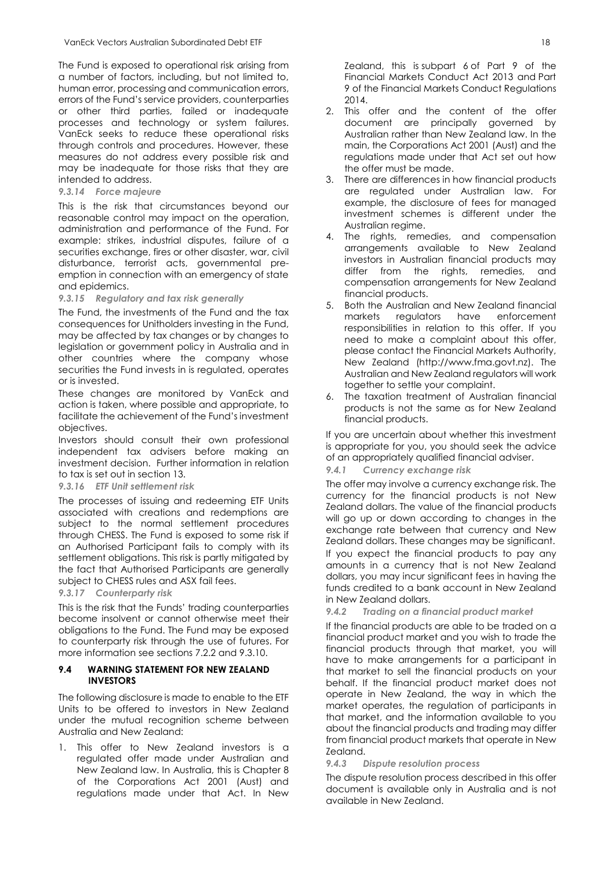The Fund is exposed to operational risk arising from a number of factors, including, but not limited to, human error, processing and communication errors, errors of the Fund's service providers, counterparties or other third parties, failed or inadequate processes and technology or system failures. VanEck seeks to reduce these operational risks through controls and procedures. However, these measures do not address every possible risk and may be inadequate for those risks that they are intended to address.

#### *9.3.14 Force majeure*

This is the risk that circumstances beyond our reasonable control may impact on the operation, administration and performance of the Fund. For example: strikes, industrial disputes, failure of a securities exchange, fires or other disaster, war, civil disturbance, terrorist acts, governmental preemption in connection with an emergency of state and epidemics.

#### *9.3.15 Regulatory and tax risk generally*

The Fund, the investments of the Fund and the tax consequences for Unitholders investing in the Fund, may be affected by tax changes or by changes to legislation or government policy in Australia and in other countries where the company whose securities the Fund invests in is regulated, operates or is invested.

These changes are monitored by VanEck and action is taken, where possible and appropriate, to facilitate the achievement of the Fund's investment objectives.

Investors should consult their own professional independent tax advisers before making an investment decision. Further information in relation to tax is set out in section 13.

*9.3.16 ETF Unit settlement risk*

The processes of issuing and redeeming ETF Units associated with creations and redemptions are subject to the normal settlement procedures through CHESS. The Fund is exposed to some risk if an Authorised Participant fails to comply with its settlement obligations. This risk is partly mitigated by the fact that Authorised Participants are generally subject to CHESS rules and ASX fail fees.

#### *9.3.17 Counterparty risk*

This is the risk that the Funds' trading counterparties become insolvent or cannot otherwise meet their obligations to the Fund. The Fund may be exposed to counterparty risk through the use of futures. For more information see sections 7.2.2 and 9.3.10.

#### **9.4 WARNING STATEMENT FOR NEW ZEALAND INVESTORS**

The following disclosure is made to enable to the ETF Units to be offered to investors in New Zealand under the mutual recognition scheme between Australia and New Zealand:

1. This offer to New Zealand investors is a regulated offer made under Australian and New Zealand law. In Australia, this is Chapter 8 of the Corporations Act 2001 (Aust) and regulations made under that Act. In New

Zealand, this is subpart 6 of Part 9 of the Financial Markets Conduct Act 2013 and Part 9 of the Financial Markets Conduct Regulations  $2014$ 

- 2. This offer and the content of the offer document are principally governed by Australian rather than New Zealand law. In the main, the Corporations Act 2001 (Aust) and the regulations made under that Act set out how the offer must be made.
- 3. There are differences in how financial products are regulated under Australian law. For example, the disclosure of fees for managed investment schemes is different under the Australian regime.
- 4. The rights, remedies, and compensation arrangements available to New Zealand investors in Australian financial products may differ from the rights, remedies, and compensation arrangements for New Zealand financial products.
- 5. Both the Australian and New Zealand financial markets regulators have enforcement responsibilities in relation to this offer. If you need to make a complaint about this offer, please contact the Financial Markets Authority, New Zealand (http://www.fma.govt.nz). The Australian and New Zealand regulators will work together to settle your complaint.
- 6. The taxation treatment of Australian financial products is not the same as for New Zealand financial products.

If you are uncertain about whether this investment is appropriate for you, you should seek the advice of an appropriately qualified financial adviser.

*9.4.1 Currency exchange risk*

The offer may involve a currency exchange risk. The currency for the financial products is not New Zealand dollars. The value of the financial products will go up or down according to changes in the exchange rate between that currency and New Zealand dollars. These changes may be significant. If you expect the financial products to pay any amounts in a currency that is not New Zealand dollars, you may incur significant fees in having the funds credited to a bank account in New Zealand in New Zealand dollars.

*9.4.2 Trading on a financial product market*

If the financial products are able to be traded on a financial product market and you wish to trade the financial products through that market, you will have to make arrangements for a participant in that market to sell the financial products on your behalf. If the financial product market does not operate in New Zealand, the way in which the market operates, the regulation of participants in that market, and the information available to you about the financial products and trading may differ from financial product markets that operate in New Zealand.

*9.4.3 Dispute resolution process*

The dispute resolution process described in this offer document is available only in Australia and is not available in New Zealand.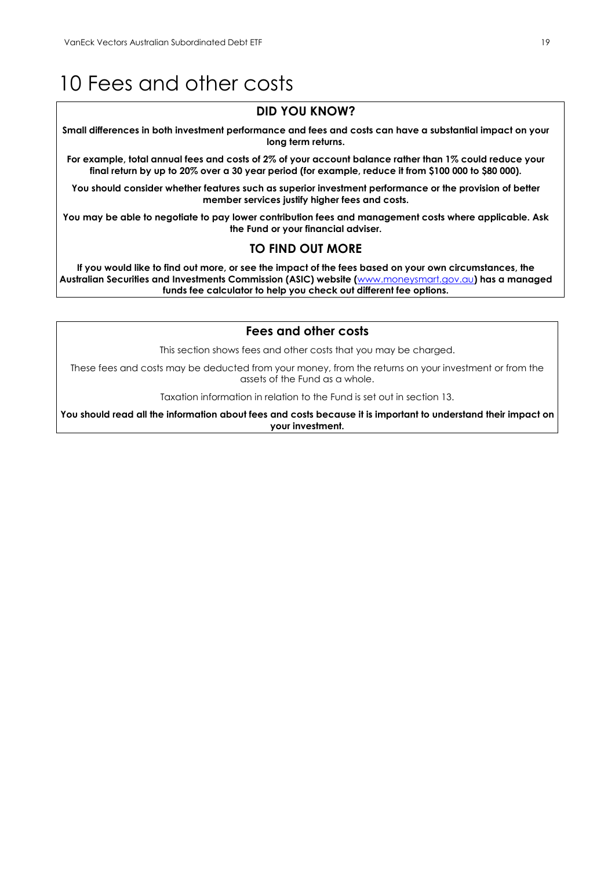### <span id="page-19-0"></span>10 Fees and other costs

#### **DID YOU KNOW?**

**Small differences in both investment performance and fees and costs can have a substantial impact on your long term returns.**

**For example, total annual fees and costs of 2% of your account balance rather than 1% could reduce your final return by up to 20% over a 30 year period (for example, reduce it from \$100 000 to \$80 000).**

**You should consider whether features such as superior investment performance or the provision of better member services justify higher fees and costs.**

**You may be able to negotiate to pay lower contribution fees and management costs where applicable. Ask the Fund or your financial adviser.**

#### **TO FIND OUT MORE**

**If you would like to find out more, or see the impact of the fees based on your own circumstances, the Australian Securities and Investments Commission (ASIC) website (**[www.moneysmart.gov.au](http://www.moneysmart.gov.au/)**) has a managed funds fee calculator to help you check out different fee options.**

#### **Fees and other costs**

This section shows fees and other costs that you may be charged.

These fees and costs may be deducted from your money, from the returns on your investment or from the assets of the Fund as a whole.

Taxation information in relation to the Fund is set out in section 13.

**You should read all the information about fees and costs because it is important to understand their impact on your investment.**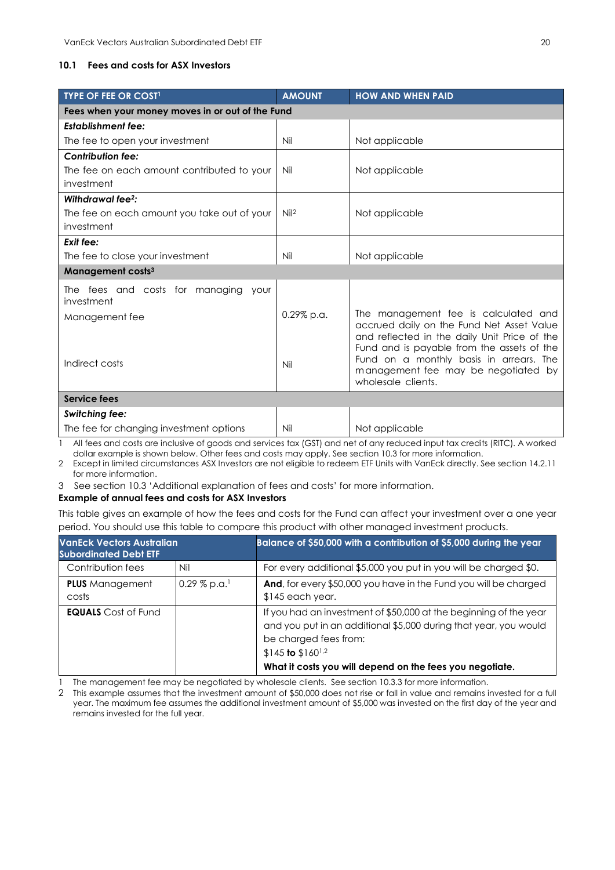#### **10.1 Fees and costs for ASX Investors**

| <b>TYPE OF FEE OR COST1</b>                        | <b>AMOUNT</b>    | <b>HOW AND WHEN PAID</b>                                                                                                                                                        |  |  |  |
|----------------------------------------------------|------------------|---------------------------------------------------------------------------------------------------------------------------------------------------------------------------------|--|--|--|
| Fees when your money moves in or out of the Fund   |                  |                                                                                                                                                                                 |  |  |  |
| <b>Establishment fee:</b>                          |                  |                                                                                                                                                                                 |  |  |  |
| The fee to open your investment                    | Nil              | Not applicable                                                                                                                                                                  |  |  |  |
| <b>Contribution fee:</b>                           |                  |                                                                                                                                                                                 |  |  |  |
| The fee on each amount contributed to your         | Nil              | Not applicable                                                                                                                                                                  |  |  |  |
| investment                                         |                  |                                                                                                                                                                                 |  |  |  |
| Withdrawal fee <sup>2</sup> :                      |                  |                                                                                                                                                                                 |  |  |  |
| The fee on each amount you take out of your        | Nil <sup>2</sup> | Not applicable                                                                                                                                                                  |  |  |  |
| investment                                         |                  |                                                                                                                                                                                 |  |  |  |
| Exit fee:                                          |                  |                                                                                                                                                                                 |  |  |  |
| The fee to close your investment                   | Nil              | Not applicable                                                                                                                                                                  |  |  |  |
| Management costs <sup>3</sup>                      |                  |                                                                                                                                                                                 |  |  |  |
| The fees and costs for managing your<br>investment |                  |                                                                                                                                                                                 |  |  |  |
| Management fee                                     | $0.29\%$ p.a.    | The management fee is calculated and<br>accrued daily on the Fund Net Asset Value<br>and reflected in the daily Unit Price of the<br>Fund and is payable from the assets of the |  |  |  |
| Indirect costs                                     | Nil              | Fund on a monthly basis in arrears. The<br>management fee may be negotiated by<br>wholesale clients.                                                                            |  |  |  |
| <b>Service fees</b>                                |                  |                                                                                                                                                                                 |  |  |  |
| <b>Switching fee:</b>                              |                  |                                                                                                                                                                                 |  |  |  |
| The fee for changing investment options            | Nil              | Not applicable                                                                                                                                                                  |  |  |  |

1 All fees and costs are inclusive of goods and services tax (GST) and net of any reduced input tax credits (RITC). A worked dollar example is shown below. Other fees and costs may apply. See section 10.3 for more information.

2 Except in limited circumstances ASX Investors are not eligible to redeem ETF Units with VanEck directly. See section 14.2.11 for more information.

3 See section 10.3 'Additional explanation of fees and costs' for more information.

#### **Example of annual fees and costs for ASX Investors**

This table gives an example of how the fees and costs for the Fund can affect your investment over a one year period. You should use this table to compare this product with other managed investment products.

| <b>VanEck Vectors Australian</b><br><b>Subordinated Debt ETF</b> |                            | Balance of \$50,000 with a contribution of \$5,000 during the year                                                                                                                                                                                   |  |  |
|------------------------------------------------------------------|----------------------------|------------------------------------------------------------------------------------------------------------------------------------------------------------------------------------------------------------------------------------------------------|--|--|
| Contribution fees                                                | Nil                        | For every additional \$5,000 you put in you will be charged \$0.                                                                                                                                                                                     |  |  |
| <b>PLUS</b> Management<br>costs                                  | $0.29\%$ p.a. <sup>1</sup> | And, for every \$50,000 you have in the Fund you will be charged<br>\$145 each year.                                                                                                                                                                 |  |  |
| <b>EQUALS</b> Cost of Fund                                       |                            | If you had an investment of \$50,000 at the beginning of the year<br>and you put in an additional \$5,000 during that year, you would<br>be charged fees from:<br>$$145$ to $$160^{1,2}$<br>What it costs you will depend on the fees you negotiate. |  |  |

1 The management fee may be negotiated by wholesale clients. See section 10.3.3 for more information.

2 This example assumes that the investment amount of \$50,000 does not rise or fall in value and remains invested for a full year. The maximum fee assumes the additional investment amount of \$5,000 was invested on the first day of the year and remains invested for the full year.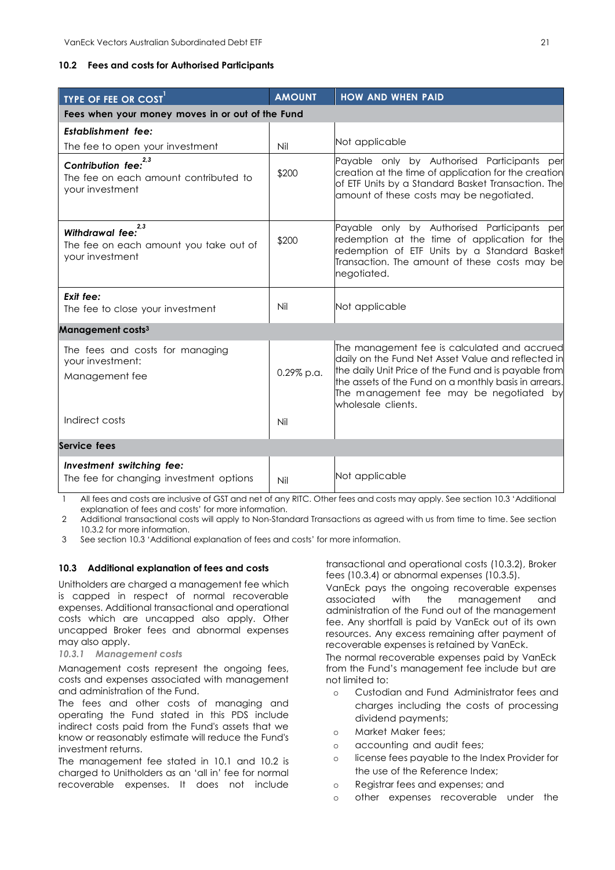#### **10.2 Fees and costs for Authorised Participants**

| <b>TYPE OF FEE OR COST</b>                                                                  | <b>AMOUNT</b>                                    | <b>HOW AND WHEN PAID</b>                                                                                                                                                                                                                                                             |  |  |  |
|---------------------------------------------------------------------------------------------|--------------------------------------------------|--------------------------------------------------------------------------------------------------------------------------------------------------------------------------------------------------------------------------------------------------------------------------------------|--|--|--|
|                                                                                             | Fees when your money moves in or out of the Fund |                                                                                                                                                                                                                                                                                      |  |  |  |
| <b>Establishment</b> fee:                                                                   |                                                  |                                                                                                                                                                                                                                                                                      |  |  |  |
| The fee to open your investment                                                             | Nil                                              | Not applicable                                                                                                                                                                                                                                                                       |  |  |  |
| 2,3<br><b>Contribution fee:</b><br>The fee on each amount contributed to<br>your investment | \$200                                            | Payable only by Authorised Participants per<br>creation at the time of application for the creation<br>of ETF Units by a Standard Basket Transaction. The<br>amount of these costs may be negotiated.                                                                                |  |  |  |
| 2.3<br>Withdrawal fee:<br>The fee on each amount you take out of<br>your investment         | \$200                                            | Payable only by Authorised Participants<br>per<br>redemption at the time of application for the<br>redemption of ETF Units by a Standard Basket<br>Transaction. The amount of these costs may be<br>negotiated.                                                                      |  |  |  |
| Exit fee:<br>The fee to close your investment                                               | Nil                                              | Not applicable                                                                                                                                                                                                                                                                       |  |  |  |
| Management costs <sup>3</sup>                                                               |                                                  |                                                                                                                                                                                                                                                                                      |  |  |  |
| The fees and costs for managing<br>your investment:<br>Management fee                       | 0.29% p.a.                                       | The management fee is calculated and accrued<br>daily on the Fund Net Asset Value and reflected in<br>the daily Unit Price of the Fund and is payable from<br>the assets of the Fund on a monthly basis in arrears.<br>The management fee may be negotiated by<br>wholesale clients. |  |  |  |
| Indirect costs                                                                              | Nil                                              |                                                                                                                                                                                                                                                                                      |  |  |  |
| Service fees                                                                                |                                                  |                                                                                                                                                                                                                                                                                      |  |  |  |
| Investment switching fee:<br>The fee for changing investment options                        | Nil                                              | Not applicable                                                                                                                                                                                                                                                                       |  |  |  |

1 All fees and costs are inclusive of GST and net of any RITC. Other fees and costs may apply. See section 10.3 'Additional explanation of fees and costs' for more information.

2 Additional transactional costs will apply to Non-Standard Transactions as agreed with us from time to time. See section 10.3.2 for more information.

3 See section 10.3 'Additional explanation of fees and costs' for more information.

#### **10.3 Additional explanation of fees and costs**

Unitholders are charged a management fee which is capped in respect of normal recoverable expenses. Additional transactional and operational costs which are uncapped also apply. Other uncapped Broker fees and abnormal expenses may also apply.

#### *10.3.1 Management costs*

Management costs represent the ongoing fees, costs and expenses associated with management and administration of the Fund.

The fees and other costs of managing and operating the Fund stated in this PDS include indirect costs paid from the Fund's assets that we know or reasonably estimate will reduce the Fund's investment returns.

The management fee stated in 10.1 and 10.2 is charged to Unitholders as an 'all in' fee for normal recoverable expenses. It does not include

transactional and operational costs (10.3.2), Broker fees (10.3.4) or abnormal expenses (10.3.5).

VanEck pays the ongoing recoverable expenses associated with the management and administration of the Fund out of the management fee. Any shortfall is paid by VanEck out of its own resources. Any excess remaining after payment of recoverable expenses is retained by VanEck.

The normal recoverable expenses paid by VanEck from the Fund's management fee include but are not limited to:

- o Custodian and Fund Administrator fees and charges including the costs of processing dividend payments;
- o Market Maker fees;
- o accounting and audit fees;
- o license fees payable to the Index Provider for the use of the Reference Index;
- o Registrar fees and expenses; and
- o other expenses recoverable under the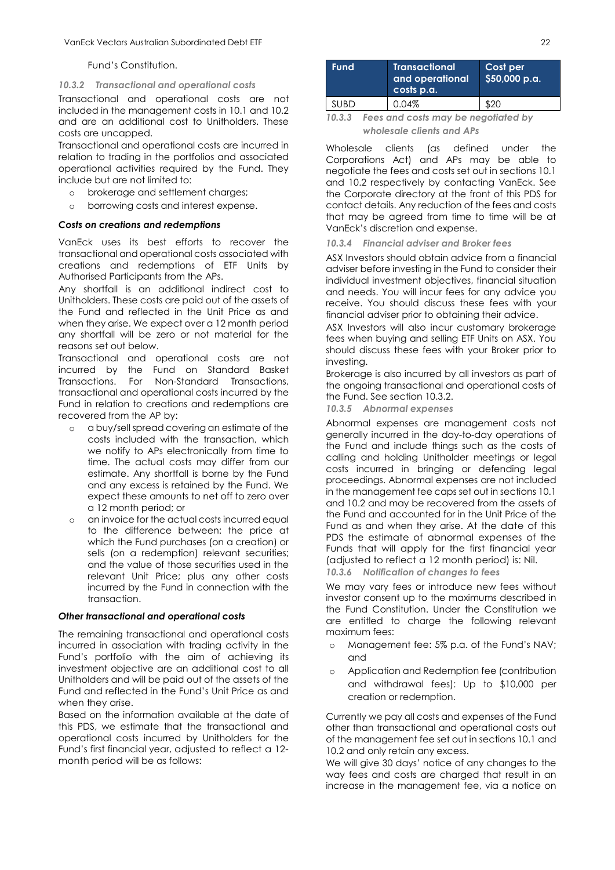#### Fund's Constitution.

#### *10.3.2 Transactional and operational costs*

Transactional and operational costs are not included in the management costs in 10.1 and 10.2 and are an additional cost to Unitholders. These costs are uncapped.

Transactional and operational costs are incurred in relation to trading in the portfolios and associated operational activities required by the Fund. They include but are not limited to:

- o brokerage and settlement charges;
- o borrowing costs and interest expense.

#### *Costs on creations and redemptions*

VanEck uses its best efforts to recover the transactional and operational costs associated with creations and redemptions of ETF Units by Authorised Participants from the APs.

Any shortfall is an additional indirect cost to Unitholders. These costs are paid out of the assets of the Fund and reflected in the Unit Price as and when they arise. We expect over a 12 month period any shortfall will be zero or not material for the reasons set out below.

Transactional and operational costs are not incurred by the Fund on Standard Basket Transactions. For Non-Standard Transactions, transactional and operational costs incurred by the Fund in relation to creations and redemptions are recovered from the AP by:

- o a buy/sell spread covering an estimate of the costs included with the transaction, which we notify to APs electronically from time to time. The actual costs may differ from our estimate. Any shortfall is borne by the Fund and any excess is retained by the Fund. We expect these amounts to net off to zero over a 12 month period; or
- o an invoice for the actual costs incurred equal to the difference between: the price at which the Fund purchases (on a creation) or sells (on a redemption) relevant securities; and the value of those securities used in the relevant Unit Price; plus any other costs incurred by the Fund in connection with the transaction.

#### *Other transactional and operational costs*

The remaining transactional and operational costs incurred in association with trading activity in the Fund's portfolio with the aim of achieving its investment objective are an additional cost to all Unitholders and will be paid out of the assets of the Fund and reflected in the Fund's Unit Price as and when they arise.

Based on the information available at the date of this PDS, we estimate that the transactional and operational costs incurred by Unitholders for the Fund's first financial year, adjusted to reflect a 12 month period will be as follows:

| <b>Fund</b> |                                     | <b>Transactional</b><br>and operational<br>$\overline{\phantom{a}}$ costs p.a. | Cost per<br>\$50,000 p.a. |
|-------------|-------------------------------------|--------------------------------------------------------------------------------|---------------------------|
| <b>SUBD</b> |                                     | 0.04%                                                                          | \$20                      |
| າດ າ າ      | Foos and costs may be nogotiated by |                                                                                |                           |

*10.3.3 Fees and costs may be negotiated by wholesale clients and APs*

Wholesale clients (as defined under the Corporations Act) and APs may be able to negotiate the fees and costs set out in sections 10.1 and 10.2 respectively by contacting VanEck. See the Corporate directory at the front of this PDS for contact details. Any reduction of the fees and costs that may be agreed from time to time will be at VanEck's discretion and expense.

#### *10.3.4 Financial adviser and Broker fees*

ASX Investors should obtain advice from a financial adviser before investing in the Fund to consider their individual investment objectives, financial situation and needs. You will incur fees for any advice you receive. You should discuss these fees with your financial adviser prior to obtaining their advice.

ASX Investors will also incur customary brokerage fees when buying and selling ETF Units on ASX. You should discuss these fees with your Broker prior to investing.

Brokerage is also incurred by all investors as part of the ongoing transactional and operational costs of the Fund. See section 10.3.2.

*10.3.5 Abnormal expenses*

Abnormal expenses are management costs not generally incurred in the day-to-day operations of the Fund and include things such as the costs of calling and holding Unitholder meetings or legal costs incurred in bringing or defending legal proceedings. Abnormal expenses are not included in the management fee caps set out in sections 10.1 and 10.2 and may be recovered from the assets of the Fund and accounted for in the Unit Price of the Fund as and when they arise. At the date of this PDS the estimate of abnormal expenses of the Funds that will apply for the first financial year (adjusted to reflect a 12 month period) is: Nil.

*10.3.6 Notification of changes to fees*

We may vary fees or introduce new fees without investor consent up to the maximums described in the Fund Constitution. Under the Constitution we are entitled to charge the following relevant maximum fees:

- o Management fee: 5% p.a. of the Fund's NAV; and
- o Application and Redemption fee (contribution and withdrawal fees): Up to \$10,000 per creation or redemption.

Currently we pay all costs and expenses of the Fund other than transactional and operational costs out of the management fee set out in sections 10.1 and 10.2 and only retain any excess.

We will give 30 days' notice of any changes to the way fees and costs are charged that result in an increase in the management fee, via a notice on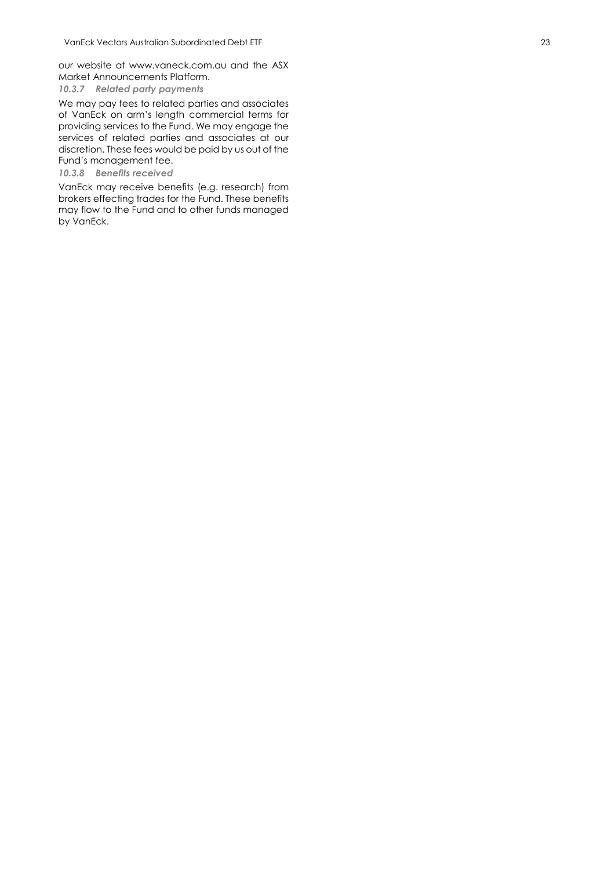our website at [www.vaneck.com.au](http://www.vaneck.com.au/) and the ASX Market Announcements Platform.

*10.3.7 Related party payments*

We may pay fees to related parties and associates of VanEck on arm's length commercial terms for providing services to the Fund. We may engage the services of related parties and associates at our discretion. These fees would be paid by us out of the Fund's management fee .

*10.3.8 Benefits received*

VanEck may receive benefits (e.g. research) from brokers effecting trades for the Fund. These benefits may flow to the Fund and to other funds managed by VanEck .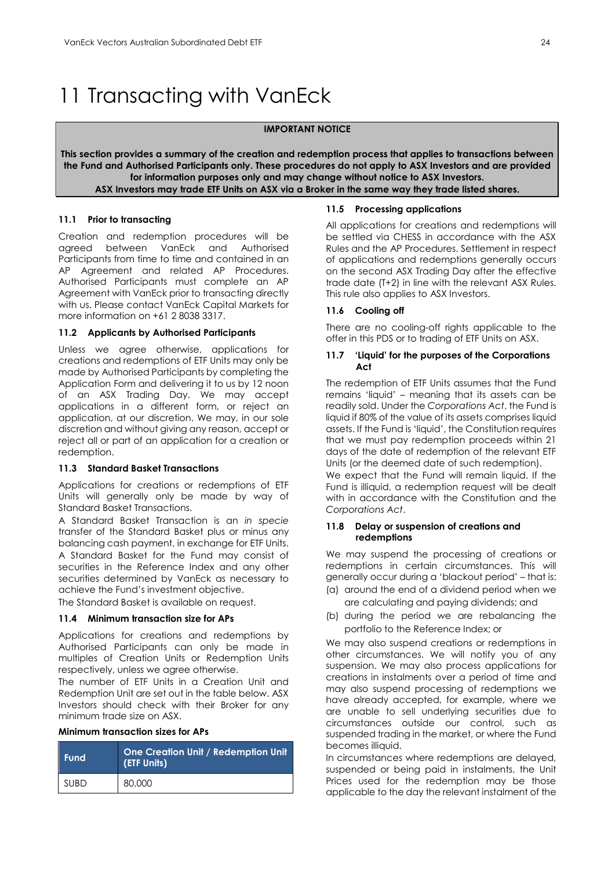## <span id="page-24-0"></span>11 Transacting with VanEck

#### **IMPORTANT NOTICE**

**This section provides a summary of the creation and redemption process that applies to transactions between the Fund and Authorised Participants only. These procedures do not apply to ASX Investors and are provided for information purposes only and may change without notice to ASX Investors. ASX Investors may trade ETF Units on ASX via a Broker in the same way they trade listed shares.**

#### **11.1 Prior to transacting**

Creation and redemption procedures will be agreed between VanEck and Authorised Participants from time to time and contained in an AP Agreement and related AP Procedures. Authorised Participants must complete an AP Agreement with VanEck prior to transacting directly with us. Please contact VanEck Capital Markets for more information on +61 2 8038 3317.

#### **11.2 Applicants by Authorised Participants**

Unless we agree otherwise, applications for creations and redemptions of ETF Units may only be made by Authorised Participants by completing the Application Form and delivering it to us by 12 noon of an ASX Trading Day. We may accept applications in a different form, or reject an application, at our discretion. We may, in our sole discretion and without giving any reason, accept or reject all or part of an application for a creation or redemption.

#### **11.3 Standard Basket Transactions**

Applications for creations or redemptions of ETF Units will generally only be made by way of Standard Basket Transactions.

A Standard Basket Transaction is an *in specie* transfer of the Standard Basket plus or minus any balancing cash payment, in exchange for ETF Units. A Standard Basket for the Fund may consist of securities in the Reference Index and any other securities determined by VanEck as necessary to achieve the Fund's investment objective.

The Standard Basket is available on request.

#### **11.4 Minimum transaction size for APs**

Applications for creations and redemptions by Authorised Participants can only be made in multiples of Creation Units or Redemption Units respectively, unless we agree otherwise.

The number of ETF Units in a Creation Unit and Redemption Unit are set out in the table below. ASX Investors should check with their Broker for any minimum trade size on ASX.

#### **Minimum transaction sizes for APs**

| <b>Fund</b> | One Creation Unit / Redemption Unit<br>(ETF Units) |
|-------------|----------------------------------------------------|
| <b>SUBD</b> | 80,000                                             |

#### **11.5 Processing applications**

All applications for creations and redemptions will be settled via CHESS in accordance with the ASX Rules and the AP Procedures. Settlement in respect of applications and redemptions generally occurs on the second ASX Trading Day after the effective trade date (T+2) in line with the relevant ASX Rules. This rule also applies to ASX Investors.

#### **11.6 Cooling off**

There are no cooling-off rights applicable to the offer in this PDS or to trading of ETF Units on ASX.

#### **11.7 'Liquid' for the purposes of the Corporations Act**

The redemption of ETF Units assumes that the Fund remains 'liquid' – meaning that its assets can be readily sold. Under the *Corporations Act*, the Fund is liquid if 80% of the value of its assets comprises liquid assets. If the Fund is 'liquid', the Constitution requires that we must pay redemption proceeds within 21 days of the date of redemption of the relevant ETF Units (or the deemed date of such redemption).

We expect that the Fund will remain liquid. If the Fund is illiquid, a redemption request will be dealt with in accordance with the Constitution and the *Corporations Act*.

#### **11.8 Delay or suspension of creations and redemptions**

We may suspend the processing of creations or redemptions in certain circumstances. This will generally occur during a 'blackout period' – that is:

- (a) around the end of a dividend period when we are calculating and paying dividends; and
- (b) during the period we are rebalancing the portfolio to the Reference Index; or

We may also suspend creations or redemptions in other circumstances. We will notify you of any suspension. We may also process applications for creations in instalments over a period of time and may also suspend processing of redemptions we have already accepted, for example, where we are unable to sell underlying securities due to circumstances outside our control, such as suspended trading in the market, or where the Fund becomes illiquid.

In circumstances where redemptions are delayed, suspended or being paid in instalments, the Unit Prices used for the redemption may be those applicable to the day the relevant instalment of the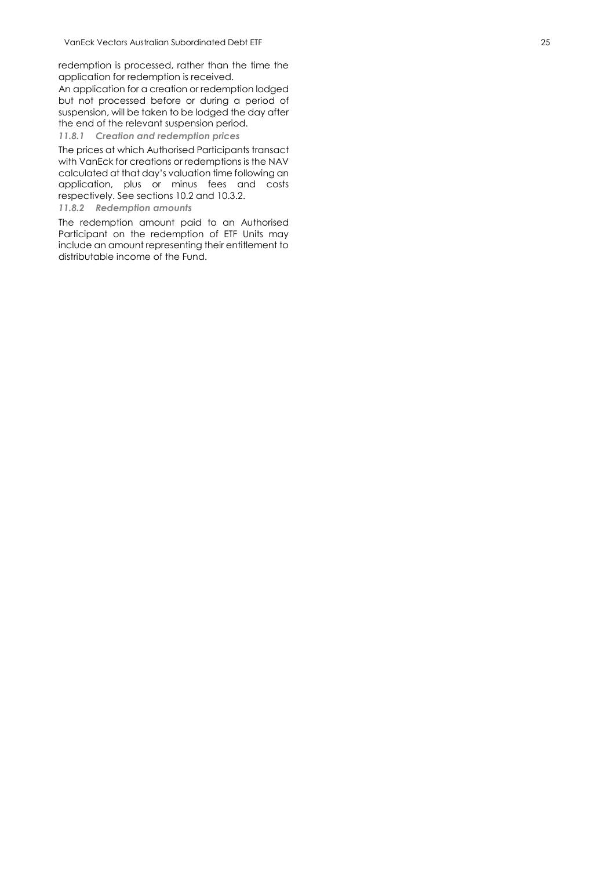redemption is processed, rather than the time the application for redemption is received.

An application for a creation or redemption lodged but not processed before or during a period of suspension, will be taken to be lodged the day after the end of the relevant suspension period.

#### *11.8.1 Creation and redemption prices*

The prices at which Authorised Participants transact with VanEck for creations or redemptions is the NAV calculated at that day's valuation time following an application, plus or minus fees and costs respectively. See sections 10.2 and 10.3.2.

#### *11.8.2 Redemption amounts*

The redemption amount paid to an Authorised Participant on the redemption of ETF Units may include an amount representing their entitlement to distributable income of the Fund.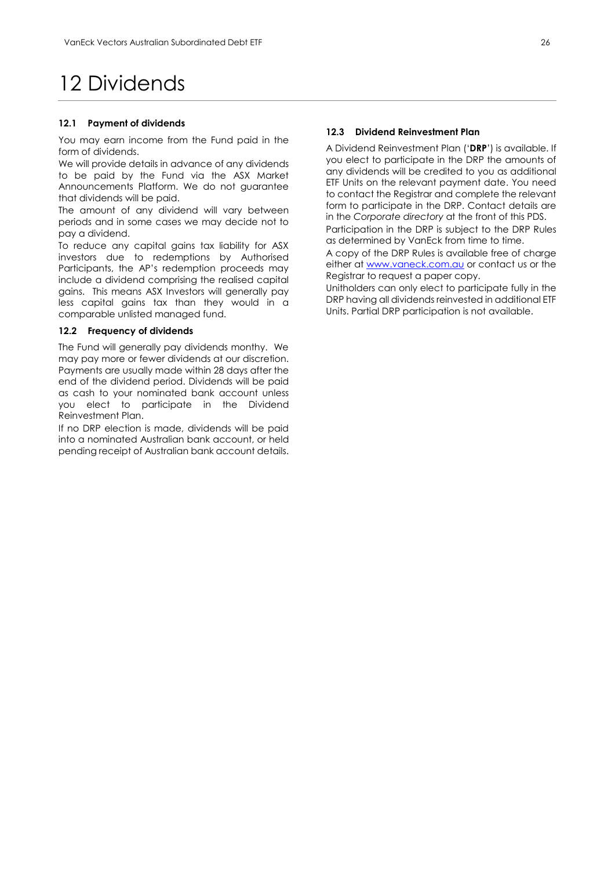### <span id="page-26-0"></span>12 Dividends

#### **12.1 Payment of dividends**

You may earn income from the Fund paid in the form of dividends.

We will provide details in advance of any dividends to be paid by the Fund via the ASX Market Announcements Platform. We do not guarantee that dividends will be paid.

The amount of any dividend will vary between periods and in some cases we may decide not to pay a dividend.

To reduce any capital gains tax liability for ASX investors due to redemptions by Authorised Participants, the AP's redemption proceeds may include a dividend comprising the realised capital gains. This means ASX Investors will generally pay less capital gains tax than they would in a comparable unlisted managed fund.

#### **12.2 Frequency of dividends**

The Fund will generally pay dividends monthy. We may pay more or fewer dividends at our discretion. Payments are usually made within 28 days after the end of the dividend period. Dividends will be paid as cash to your nominated bank account unless you elect to participate in the Dividend Reinvestment Plan.

If no DRP election is made, dividends will be paid into a nominated Australian bank account, or held pending receipt of Australian bank account details.

#### **12.3 Dividend Reinvestment Plan**

A Dividend Reinvestment Plan ('**DRP**') is available. If you elect to participate in the DRP the amounts of any dividends will be credited to you as additional ETF Units on the relevant payment date. You need to contact the Registrar and complete the relevant form to participate in the DRP. Contact details are in the *Corporate directory* at the front of this PDS. Participation in the DRP is subject to the DRP Rules

as determined by VanEck from time to time. A copy of the DRP Rules is available free of charge either at [www.vaneck.com.au](http://www.vaneck.com.au/) or contact us or the

Registrar to request a paper copy. Unitholders can only elect to participate fully in the

DRP having all dividends reinvested in additional ETF Units. Partial DRP participation is not available.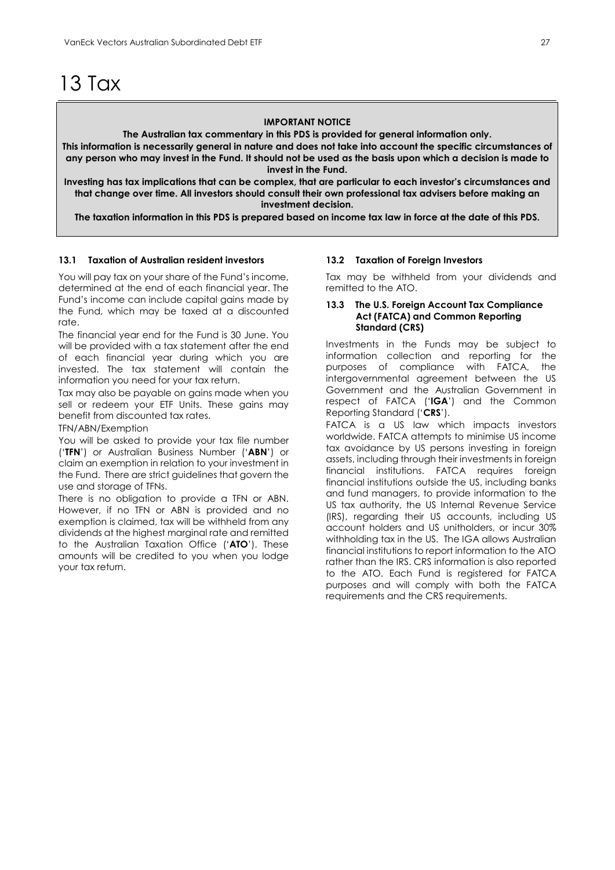### <span id="page-27-0"></span>13 Tax

#### **IMPORTANT NOTICE**

**The Australian tax commentary in this PDS is provided for general information only.**

**This information is necessarily general in nature and does not take into account the specific circumstances of any person who may invest in the Fund. It should not be used as the basis upon which a decision is made to invest in the Fund.**

**Investing has tax implications that can be complex, that are particular to each investor's circumstances and that change over time. All investors should consult their own professional tax advisers before making an investment decision.**

**The taxation information in this PDS is prepared based on income tax law in force at the date of this PDS.**

#### **13.1 Taxation of Australian resident investors**

You will pay tax on your share of the Fund's income, determined at the end of each financial year. The Fund's income can include capital gains made by the Fund, which may be taxed at a discounted rate.

The financial year end for the Fund is 30 June. You will be provided with a tax statement after the end of each financial year during which you are invested. The tax statement will contain the information you need for your tax return.

Tax may also be payable on gains made when you sell or redeem your ETF Units. These gains may benefit from discounted tax rates.

TFN/ABN/Exemption

You will be asked to provide your tax file number ('**TFN**') or Australian Business Number ('**ABN**') or claim an exemption in relation to your investment in the Fund. There are strict guidelines that govern the use and storage of TFNs.

There is no obligation to provide a TFN or ABN. However, if no TFN or ABN is provided and no exemption is claimed, tax will be withheld from any dividends at the highest marginal rate and remitted to the Australian Taxation Office ('**ATO**'). These amounts will be credited to you when you lodge your tax return.

#### **13.2 Taxation of Foreign Investors**

Tax may be withheld from your dividends and remitted to the ATO.

#### **13.3 The U.S. Foreign Account Tax Compliance Act (FATCA) and Common Reporting Standard (CRS)**

Investments in the Funds may be subject to information collection and reporting for the purposes of compliance with FATCA, the intergovernmental agreement between the US Government and the Australian Government in respect of FATCA ('**IGA**') and the Common Reporting Standard ('**CRS**').

FATCA is a US law which impacts investors worldwide. FATCA attempts to minimise US income tax avoidance by US persons investing in foreign assets, including through their investments in foreign financial institutions. FATCA requires foreign financial institutions outside the US, including banks and fund managers, to provide information to the US tax authority, the US Internal Revenue Service (IRS), regarding their US accounts, including US account holders and US unitholders, or incur 30% withholding tax in the US. The IGA allows Australian financial institutions to report information to the ATO rather than the IRS. CRS information is also reported to the ATO. Each Fund is registered for FATCA purposes and will comply with both the FATCA requirements and the CRS requirements.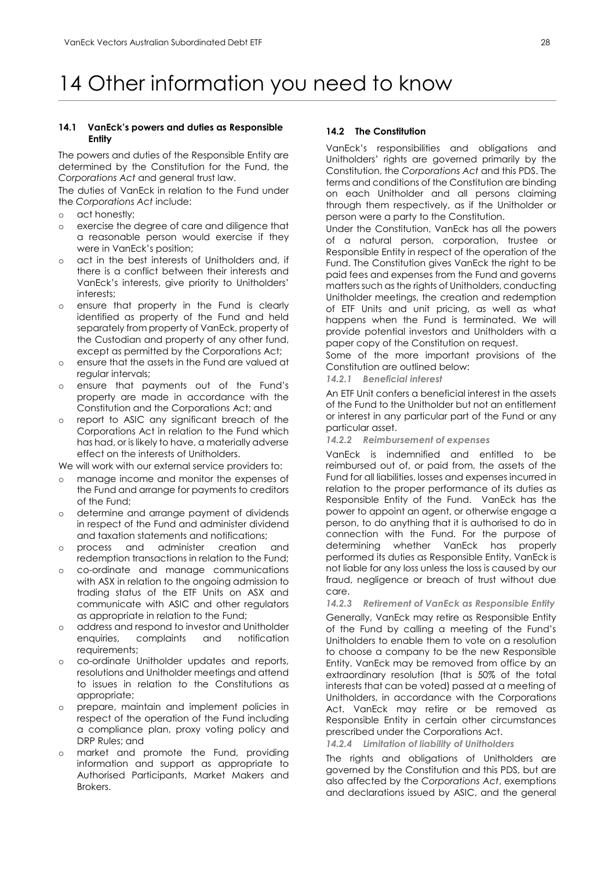## <span id="page-28-0"></span>14 Other information you need to know

#### **14.1 VanEck's powers and duties as Responsible Entity**

The powers and duties of the Responsible Entity are determined by the Constitution for the Fund, the *Corporations Act* and general trust law.

The duties of VanEck in relation to the Fund under the *Corporations Act* include:

- o act honestly;
- o exercise the degree of care and diligence that a reasonable [person](http://www.austlii.edu.au/au/legis/cth/consol_act/ca2001172/s761a.html#person?stem=0&synonyms=0&query=601FC) would exercise if they were in VanEck's position;
- act in the best interests of Unitholders and, if there is a conflict between their interests and VanEck's interests, give priority to Unitholders' interests;
- o ensure that property in the Fund is clearly identified as property of the Fund and held separately from property of VanEck, property of the Custodian and property of any other fund, except as permitted by the Corporations Act;
- o ensure that the assets in the Fund are valued at regular intervals;
- o ensure that payments out of the Fund's property are made in accordance with the Constitution and the Corporations Act; and
- o report to ASIC any significant breach of the Corporations Act in relation to the Fund which has had, or is likely to have, a materially adverse effect on the interests of Unitholders.

We will work with our external service providers to:

- o manage income and monitor the expenses of the Fund and arrange for payments to creditors of the Fund;
- determine and arrange payment of dividends in respect of the Fund and administer dividend and taxation statements and notifications;

process and administer creation and redemption transactions in relation to the Fund;

- o co-ordinate and manage communications with ASX in relation to the ongoing admission to trading status of the ETF Units on ASX and communicate with ASIC and other regulators as appropriate in relation to the Fund;
- o address and respond to investor and Unitholder complaints requirements;
- o co-ordinate Unitholder updates and reports, resolutions and Unitholder meetings and attend to issues in relation to the Constitutions as appropriate;
- o prepare, maintain and implement policies in respect of the operation of the Fund including a compliance plan, proxy voting policy and DRP Rules; and
- market and promote the Fund, providing information and support as appropriate to Authorised Participants, Market Makers and Brokers.

#### **14.2 The Constitution**

VanEck's responsibilities and obligations and Unitholders' rights are governed primarily by the Constitution, the *Corporations Act* and this PDS. The terms and conditions of the Constitution are binding on each Unitholder and all persons claiming through them respectively, as if the Unitholder or person were a party to the Constitution.

Under the Constitution, VanEck has all the powers of a natural person, corporation, trustee or Responsible Entity in respect of the operation of the Fund. The Constitution gives VanEck the right to be paid fees and expenses from the Fund and governs matters such as the rights of Unitholders, conducting Unitholder meetings, the creation and redemption of ETF Units and unit pricing, as well as what happens when the Fund is terminated. We will provide potential investors and Unitholders with a paper copy of the Constitution on request.

Some of the more important provisions of the Constitution are outlined below:

*14.2.1 Beneficial interest*

An ETF Unit confers a beneficial interest in the assets of the Fund to the Unitholder but not an entitlement or interest in any particular part of the Fund or any particular asset.

*14.2.2 Reimbursement of expenses*

VanEck is indemnified and entitled to be reimbursed out of, or paid from, the assets of the Fund for all liabilities, losses and expenses incurred in relation to the proper performance of its duties as Responsible Entity of the Fund. VanEck has the power to appoint an agent, or otherwise engage a person, to do anything that it is authorised to do in connection with the Fund. For the purpose of determining whether VanEck has properly performed its duties as Responsible Entity, VanEck is not liable for any loss unless the loss is caused by our fraud, negligence or breach of trust without due care.

*14.2.3 Retirement of VanEck as Responsible Entity*

Generally, VanEck may retire as Responsible Entity of the Fund by calling a meeting of the Fund's Unitholders to enable them to vote on a resolution to choose a company to be the new Responsible Entity. VanEck may be removed from office by an extraordinary resolution (that is 50% of the total interests that can be voted) passed at a meeting of Unitholders, in accordance with the Corporations Act. VanEck may retire or be removed as Responsible Entity in certain other circumstances prescribed under the Corporations Act.

*14.2.4 Limitation of liability of Unitholders*

The rights and obligations of Unitholders are governed by the Constitution and this PDS, but are also affected by the *Corporations Act*, exemptions and declarations issued by ASIC, and the general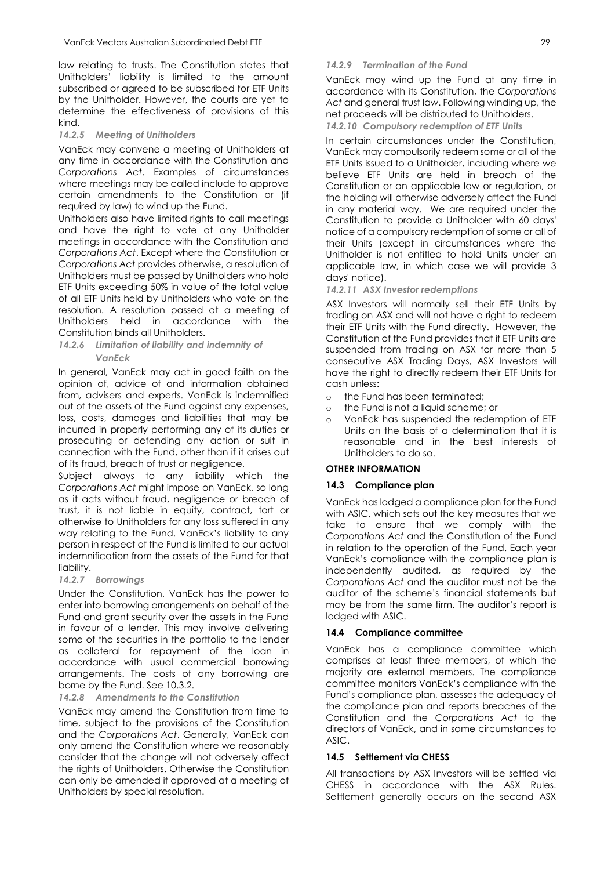law relating to trusts. The Constitution states that Unitholders' liability is limited to the amount subscribed or agreed to be subscribed for ETF Units by the Unitholder. However, the courts are yet to determine the effectiveness of provisions of this kind.

#### *14.2.5 Meeting of Unitholders*

VanEck may convene a meeting of Unitholders at any time in accordance with the Constitution and *Corporations Act*. Examples of circumstances where meetings may be called include to approve certain amendments to the Constitution or (if required by law) to wind up the Fund.

Unitholders also have limited rights to call meetings and have the right to vote at any Unitholder meetings in accordance with the Constitution and *Corporations Act*. Except where the Constitution or *Corporations Act* provides otherwise, a resolution of Unitholders must be passed by Unitholders who hold ETF Units exceeding 50% in value of the total value of all ETF Units held by Unitholders who vote on the resolution. A resolution passed at a meeting of Unitholders held in accordance with the Constitution binds all Unitholders.

#### *14.2.6 Limitation of liability and indemnity of VanEck*

In general, VanEck may act in good faith on the opinion of, advice of and information obtained from, advisers and experts. VanEck is indemnified out of the assets of the Fund against any expenses, loss, costs, damages and liabilities that may be incurred in properly performing any of its duties or prosecuting or defending any action or suit in connection with the Fund, other than if it arises out of its fraud, breach of trust or negligence.

Subject always to any liability which the *Corporations Act* might impose on VanEck, so long as it acts without fraud, negligence or breach of trust, it is not liable in equity, contract, tort or otherwise to Unitholders for any loss suffered in any way relating to the Fund. VanEck's liability to any person in respect of the Fund is limited to our actual indemnification from the assets of the Fund for that liability.

#### *14.2.7 Borrowings*

Under the Constitution, VanEck has the power to enter into borrowing arrangements on behalf of the Fund and grant security over the assets in the Fund in favour of a lender. This may involve delivering some of the securities in the portfolio to the lender as collateral for repayment of the loan in accordance with usual commercial borrowing arrangements. The costs of any borrowing are borne by the Fund. See 10.3.2.

#### *14.2.8 Amendments to the Constitution*

VanEck may amend the Constitution from time to time, subject to the provisions of the Constitution and the *Corporations Act*. Generally, VanEck can only amend the Constitution where we reasonably consider that the change will not adversely affect the rights of Unitholders. Otherwise the Constitution can only be amended if approved at a meeting of Unitholders by special resolution.

#### *14.2.9 Termination of the Fund*

VanEck may wind up the Fund at any time in accordance with its Constitution, the *Corporations Act* and general trust law. Following winding up, the net proceeds will be distributed to Unitholders. *14.2.10 Compulsory redemption of ETF Units*

In certain circumstances under the Constitution, VanEck may compulsorily redeem some or all of the ETF Units issued to a Unitholder, including where we believe ETF Units are held in breach of the Constitution or an applicable law or regulation, or the holding will otherwise adversely affect the Fund in any material way. We are required under the Constitution to provide a Unitholder with 60 days' notice of a compulsory redemption of some or all of their Units (except in circumstances where the Unitholder is not entitled to hold Units under an applicable law, in which case we will provide 3 days' notice).

#### *14.2.11 ASX Investor redemptions*

ASX Investors will normally sell their ETF Units by trading on ASX and will not have a right to redeem their ETF Units with the Fund directly. However, the Constitution of the Fund provides that if ETF Units are suspended from trading on ASX for more than 5 consecutive ASX Trading Days, ASX Investors will have the right to directly redeem their ETF Units for cash unless:

- o the Fund has been terminated;
- o the Fund is not a liquid scheme; or
- o VanEck has suspended the redemption of ETF Units on the basis of a determination that it is reasonable and in the best interests of Unitholders to do so.

#### **OTHER INFORMATION**

#### **14.3 Compliance plan**

VanEck has lodged a compliance plan for the Fund with ASIC, which sets out the key measures that we take to ensure that we comply with the *Corporations Act* and the Constitution of the Fund in relation to the operation of the Fund. Each year VanEck's compliance with the compliance plan is independently audited, as required by the *Corporations Act* and the auditor must not be the auditor of the scheme's financial statements but may be from the same firm. The auditor's report is lodged with ASIC.

#### **14.4 Compliance committee**

VanEck has a compliance committee which comprises at least three members, of which the majority are external members. The compliance committee monitors VanEck's compliance with the Fund's compliance plan, assesses the adequacy of the compliance plan and reports breaches of the Constitution and the *Corporations Act* to the directors of VanEck, and in some circumstances to ASIC.

#### **14.5 Settlement via CHESS**

All transactions by ASX Investors will be settled via CHESS in accordance with the ASX Rules. Settlement generally occurs on the second ASX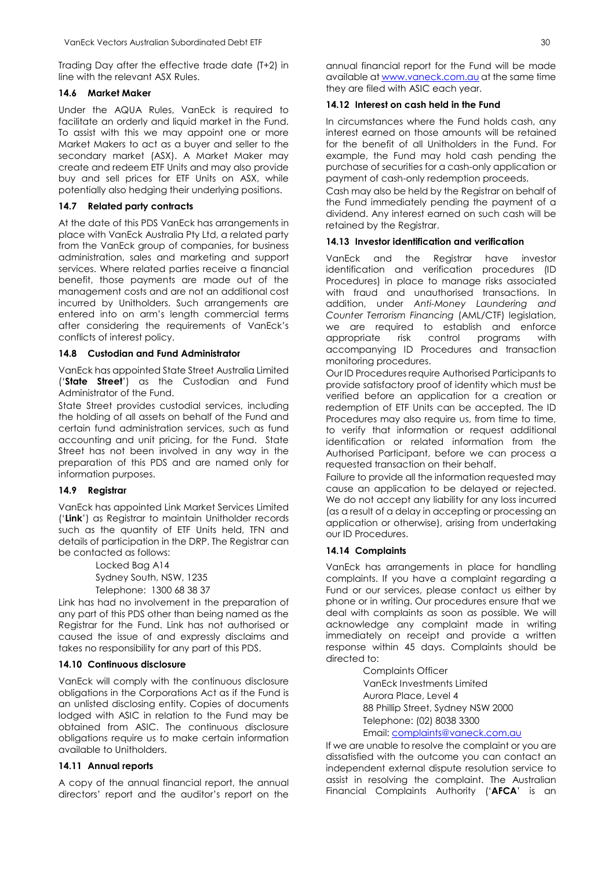Trading Day after the effective trade date (T+2) in line with the relevant ASX Rules.

#### **14.6 Market Maker**

Under the AQUA Rules, VanEck is required to facilitate an orderly and liquid market in the Fund. To assist with this we may appoint one or more Market Makers to act as a buyer and seller to the secondary market (ASX). A Market Maker may create and redeem ETF Units and may also provide buy and sell prices for ETF Units on ASX, while potentially also hedging their underlying positions.

#### **14.7 Related party contracts**

At the date of this PDS VanEck has arrangements in place with VanEck Australia Pty Ltd, a related party from the VanEck group of companies, for business administration, sales and marketing and support services. Where related parties receive a financial benefit, those payments are made out of the management costs and are not an additional cost incurred by Unitholders. Such arrangements are entered into on arm's length commercial terms after considering the requirements of VanEck's conflicts of interest policy.

#### **14.8 Custodian and Fund Administrator**

VanEck has appointed State Street Australia Limited ('**State Street**') as the Custodian and Fund Administrator of the Fund.

State Street provides custodial services, including the holding of all assets on behalf of the Fund and certain fund administration services, such as fund accounting and unit pricing, for the Fund. State Street has not been involved in any way in the preparation of this PDS and are named only for information purposes.

#### **14.9 Registrar**

VanEck has appointed Link Market Services Limited ('**Link**') as Registrar to maintain Unitholder records such as the quantity of ETF Units held, TFN and details of participation in the DRP. The Registrar can be contacted as follows:

> Locked Bag A14 Sydney South, NSW, 1235 Telephone: 1300 68 38 37

Link has had no involvement in the preparation of any part of this PDS other than being named as the Registrar for the Fund. Link has not authorised or caused the issue of and expressly disclaims and takes no responsibility for any part of this PDS.

#### **14.10 Continuous disclosure**

VanEck will comply with the continuous disclosure obligations in the Corporations Act as if the Fund is an unlisted disclosing entity. Copies of documents lodged with ASIC in relation to the Fund may be obtained from ASIC. The continuous disclosure obligations require us to make certain information available to Unitholders.

#### **14.11 Annual reports**

A copy of the annual financial report, the annual directors' report and the auditor's report on the

annual financial report for the Fund will be made available at [www.vaneck.com.au](http://www.vaneck.com.au/) at the same time they are filed with ASIC each year.

#### **14.12 Interest on cash held in the Fund**

In circumstances where the Fund holds cash, any interest earned on those amounts will be retained for the benefit of all Unitholders in the Fund. For example, the Fund may hold cash pending the purchase of securities for a cash-only application or payment of cash-only redemption proceeds.

Cash may also be held by the Registrar on behalf of the Fund immediately pending the payment of a dividend. Any interest earned on such cash will be retained by the Registrar.

#### **14.13 Investor identification and verification**

VanEck and the Registrar have investor identification and verification procedures (ID Procedures) in place to manage risks associated with fraud and unauthorised transactions. In addition, under *Anti-Money Laundering and Counter Terrorism Financing* (AML/CTF) legislation, we are required to establish and enforce appropriate risk control programs with accompanying ID Procedures and transaction monitoring procedures.

Our ID Procedures require Authorised Participants to provide satisfactory proof of identity which must be verified before an application for a creation or redemption of ETF Units can be accepted. The ID Procedures may also require us, from time to time, to verify that information or request additional identification or related information from the Authorised Participant, before we can process a requested transaction on their behalf.

Failure to provide all the information requested may cause an application to be delayed or rejected. We do not accept any liability for any loss incurred (as a result of a delay in accepting or processing an application or otherwise), arising from undertaking our ID Procedures.

#### **14.14 Complaints**

VanEck has arrangements in place for handling complaints. If you have a complaint regarding a Fund or our services, please contact us either by phone or in writing. Our procedures ensure that we deal with complaints as soon as possible. We will acknowledge any complaint made in writing immediately on receipt and provide a written response within 45 days. Complaints should be directed to:

> Complaints Officer VanEck Investments Limited Aurora Place, Level 4 88 Phillip Street, Sydney NSW 2000 Telephone: (02) 8038 3300 Email[: complaints@vaneck.com.au](mailto:complaints@vaneck.com.au)

If we are unable to resolve the complaint or you are dissatisfied with the outcome you can contact an independent external dispute resolution service to assist in resolving the complaint. The Australian Financial Complaints Authority ('**AFCA**' is an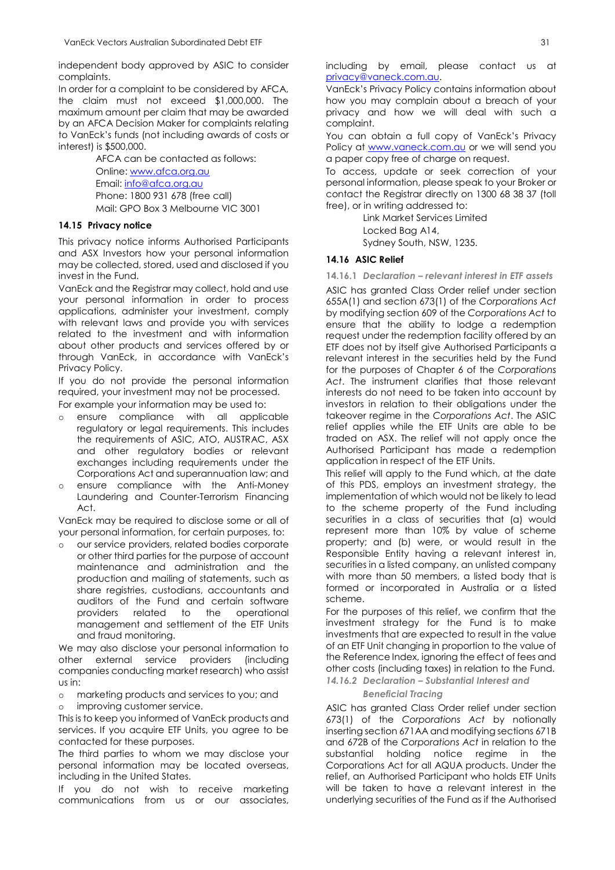independent body approved by ASIC to consider complaints.

In order for a complaint to be considered by AFCA, the claim must not exceed \$1,000,000. The maximum amount per claim that may be awarded by an AFCA Decision Maker for complaints relating to VanEck's funds (not including awards of costs or interest) is \$500,000.

> AFCA can be contacted as follows: Online: [www.afca.org.au](http://www.afca.org.au/)  Email: info@afca.org.au Phone: 1800 931 678 (free call) Mail: GPO Box 3 Melbourne VIC 3001

#### **14.15 Privacy notice**

This privacy notice informs Authorised Participants and ASX Investors how your personal information may be collected, stored, used and disclosed if you invest in the Fund.

VanEck and the Registrar may collect, hold and use your personal information in order to process applications, administer your investment, comply with relevant laws and provide you with services related to the investment and with information about other products and services offered by or through VanEck, in accordance with VanEck's Privacy Policy.

If you do not provide the personal information required, your investment may not be processed.

For example your information may be used to:

- ensure compliance with all applicable regulatory or legal requirements. This includes the requirements of ASIC, ATO, AUSTRAC, ASX and other regulatory bodies or relevant exchanges including requirements under the Corporations Act and superannuation law; and
- o ensure compliance with the Anti-Money Laundering and Counter-Terrorism Financing Act.

VanEck may be required to disclose some or all of your personal information, for certain purposes, to:

o our service providers, related bodies corporate or other third parties for the purpose of account maintenance and administration and the production and mailing of statements, such as share registries, custodians, accountants and auditors of the Fund and certain software providers related to the operational management and settlement of the ETF Units and fraud monitoring.

We may also disclose your personal information to other external service providers (including companies conducting market research) who assist us in:

o marketing products and services to you; and improving customer service.

This is to keep you informed of VanEck products and services. If you acquire ETF Units, you agree to be contacted for these purposes.

The third parties to whom we may disclose your personal information may be located overseas, including in the United States.

If you do not wish to receive marketing communications from us or our associates, including by email, please contact us at [privacy@vaneck.com.au.](mailto:privacy@vaneck.com.au) 

VanEck's Privacy Policy contains information about how you may complain about a breach of your privacy and how we will deal with such a complaint.

You can obtain a full copy of VanEck's Privacy Policy at [www.vaneck.com.au](http://www.vaneck.com.au/) or we will send you a paper copy free of charge on request.

To access, update or seek correction of your personal information, please speak to your Broker or contact the Registrar directly on 1300 68 38 37 (toll free), or in writing addressed to:

Link Market Services Limited

Locked Bag A14,

Sydney South, NSW, 1235.

#### **14.16 ASIC Relief**

**14.16.1** *Declaration – relevant interest in ETF assets*

ASIC has granted Class Order relief under section 655A(1) and section 673(1) of the *Corporations Act* by modifying section 609 of the *Corporations Act* to ensure that the ability to lodge a redemption request under the redemption facility offered by an ETF does not by itself give Authorised Participants a relevant interest in the securities held by the Fund for the purposes of Chapter 6 of the *Corporations Act*. The instrument clarifies that those relevant interests do not need to be taken into account by investors in relation to their obligations under the takeover regime in the *Corporations Act*. The ASIC relief applies while the ETF Units are able to be traded on ASX. The relief will not apply once the Authorised Participant has made a redemption application in respect of the ETF Units.

This relief will apply to the Fund which, at the date of this PDS, employs an investment strategy, the implementation of which would not be likely to lead to the scheme property of the Fund including securities in a class of securities that (a) would represent more than 10% by value of scheme property; and (b) were, or would result in the Responsible Entity having a relevant interest in, securities in a listed company, an unlisted company with more than 50 members, a listed body that is formed or incorporated in Australia or a listed scheme.

For the purposes of this relief, we confirm that the investment strategy for the Fund is to make investments that are expected to result in the value of an ETF Unit changing in proportion to the value of the Reference Index, ignoring the effect of fees and other costs (including taxes) in relation to the Fund.

*14.16.2 Declaration – Substantial Interest and* 

#### *Beneficial Tracing*

ASIC has granted Class Order relief under section 673(1) of the *Corporations Act* by notionally inserting section 671AA and modifying sections 671B and 672B of the *Corporations Act* in relation to the substantial holding notice regime in the Corporations Act for all AQUA products. Under the relief, an Authorised Participant who holds ETF Units will be taken to have a relevant interest in the underlying securities of the Fund as if the Authorised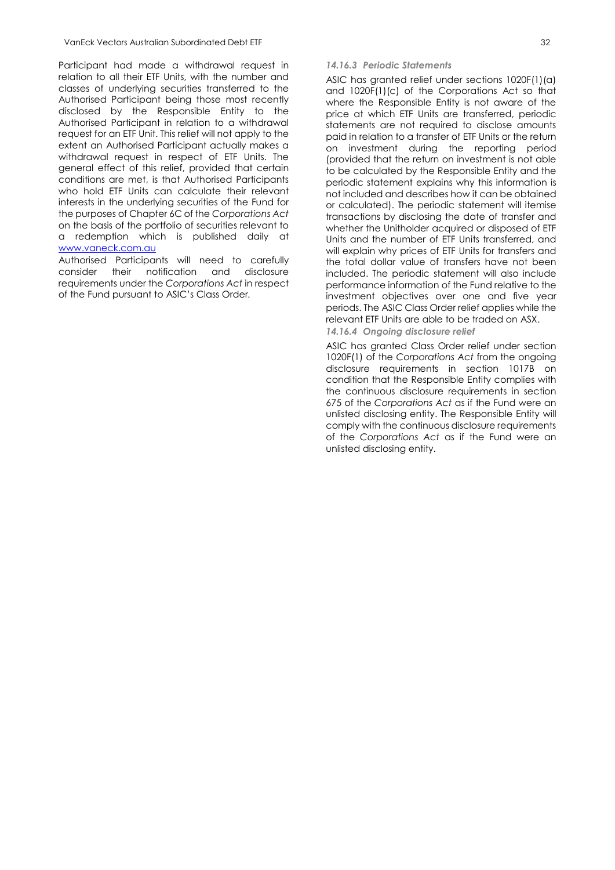Participant had made a withdrawal request in relation to all their ETF Units, with the number and classes of underlying securities transferred to the Authorised Participant being those most recently disclosed by the Responsible Entity to the Authorised Participant in relation to a withdrawal request for an ETF Unit. This relief will not apply to the extent an Authorised Participant actually makes a withdrawal request in respect of ETF Units. The general effect of this relief, provided that certain conditions are met, is that Authorised Participants who hold ETF Units can calculate their relevant interests in the underlying securities of the Fund for the purposes of Chapter 6C of the *Corporations Act* on the basis of the portfolio of securities relevant to a redemption which is published daily at [www.vaneck.com.au](http://www.vaneck.com.au/)

Authorised Participants will need to carefully consider their notification and disclosure requirements under the *Corporations Act* in respect of the Fund pursuant to ASIC's Class Order*.*

#### *14.16.3 Periodic Statements*

ASIC has granted relief under sections 1020F(1)(a) and 1020F(1)(c) of the Corporations Act so that where the Responsible Entity is not aware of the price at which ETF Units are transferred, periodic statements are not required to disclose amounts paid in relation to a transfer of ETF Units or the return on investment during the reporting period (provided that the return on investment is not able to be calculated by the Responsible Entity and the periodic statement explains why this information is not included and describes how it can be obtained or calculated). The periodic statement will itemise transactions by disclosing the date of transfer and whether the Unitholder acquired or disposed of ETF Units and the number of ETF Units transferred, and will explain why prices of ETF Units for transfers and the total dollar value of transfers have not been included. The periodic statement will also include performance information of the Fund relative to the investment objectives over one and five year periods. The ASIC Class Order relief applies while the relevant ETF Units are able to be traded on ASX.

*14.16.4 Ongoing disclosure relief*

ASIC has granted Class Order relief under section 1020F(1) of the *Corporations Act* from the ongoing disclosure requirements in section 1017B on condition that the Responsible Entity complies with the continuous disclosure requirements in section 675 of the *Corporations Act* as if the Fund were an unlisted disclosing entity. The Responsible Entity will comply with the continuous disclosure requirements of the *Corporations Act* as if the Fund were an unlisted disclosing entity.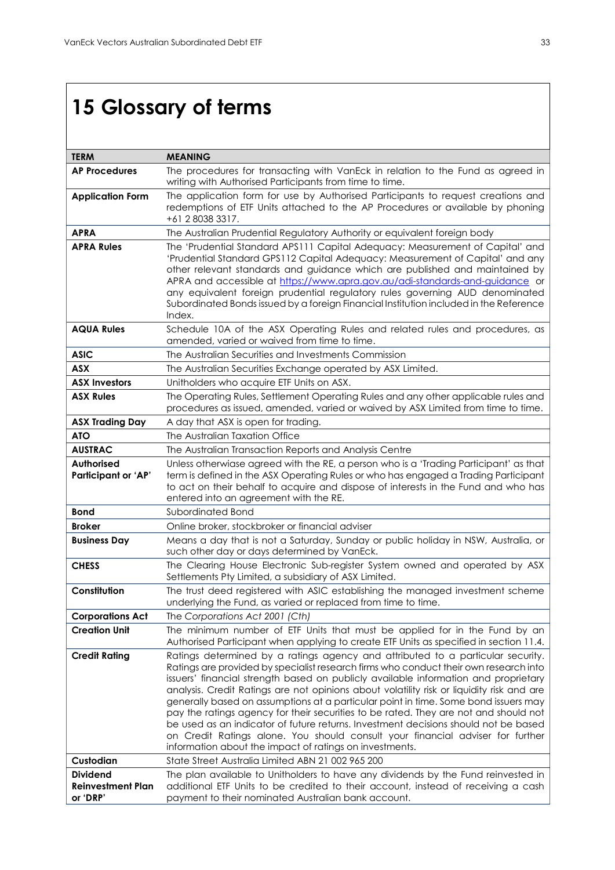# <span id="page-33-0"></span>**15 Glossary of terms**

| <b>TERM</b>                                 | <b>MEANING</b>                                                                                                                                                                   |
|---------------------------------------------|----------------------------------------------------------------------------------------------------------------------------------------------------------------------------------|
| <b>AP Procedures</b>                        | The procedures for transacting with VanEck in relation to the Fund as agreed in                                                                                                  |
|                                             | writing with Authorised Participants from time to time.                                                                                                                          |
| <b>Application Form</b>                     | The application form for use by Authorised Participants to request creations and                                                                                                 |
|                                             | redemptions of ETF Units attached to the AP Procedures or available by phoning                                                                                                   |
|                                             | +61 2 8038 3317.                                                                                                                                                                 |
| <b>APRA</b>                                 | The Australian Prudential Regulatory Authority or equivalent foreign body                                                                                                        |
| <b>APRA Rules</b>                           | The 'Prudential Standard APS111 Capital Adequacy: Measurement of Capital' and<br>'Prudential Standard GPS112 Capital Adequacy: Measurement of Capital' and any                   |
|                                             | other relevant standards and guidance which are published and maintained by                                                                                                      |
|                                             | APRA and accessible at https://www.apra.gov.au/adi-standards-and-guidance or                                                                                                     |
|                                             | any equivalent foreign prudential regulatory rules governing AUD denominated                                                                                                     |
|                                             | Subordinated Bonds issued by a foreign Financial Institution included in the Reference<br>Index.                                                                                 |
| <b>AQUA Rules</b>                           | Schedule 10A of the ASX Operating Rules and related rules and procedures, as                                                                                                     |
|                                             | amended, varied or waived from time to time.                                                                                                                                     |
| <b>ASIC</b>                                 | The Australian Securities and Investments Commission                                                                                                                             |
| <b>ASX</b>                                  | The Australian Securities Exchange operated by ASX Limited.                                                                                                                      |
| <b>ASX Investors</b>                        | Unitholders who acquire ETF Units on ASX.                                                                                                                                        |
| <b>ASX Rules</b>                            | The Operating Rules, Settlement Operating Rules and any other applicable rules and                                                                                               |
|                                             | procedures as issued, amended, varied or waived by ASX Limited from time to time.                                                                                                |
| <b>ASX Trading Day</b>                      | A day that ASX is open for trading.                                                                                                                                              |
| <b>ATO</b>                                  | The Australian Taxation Office                                                                                                                                                   |
| <b>AUSTRAC</b>                              | The Australian Transaction Reports and Analysis Centre                                                                                                                           |
| <b>Authorised</b>                           | Unless otherwiase agreed with the RE, a person who is a 'Trading Participant' as that                                                                                            |
| <b>Participant or 'AP'</b>                  | term is defined in the ASX Operating Rules or who has engaged a Trading Participant<br>to act on their behalf to acquire and dispose of interests in the Fund and who has        |
|                                             | entered into an agreement with the RE.                                                                                                                                           |
| <b>Bond</b>                                 | Subordinated Bond                                                                                                                                                                |
| <b>Broker</b>                               | Online broker, stockbroker or financial adviser                                                                                                                                  |
| <b>Business Day</b>                         | Means a day that is not a Saturday, Sunday or public holiday in NSW, Australia, or                                                                                               |
|                                             | such other day or days determined by VanEck.                                                                                                                                     |
| <b>CHESS</b>                                | The Clearing House Electronic Sub-register System owned and operated by ASX                                                                                                      |
|                                             | Settlements Pty Limited, a subsidiary of ASX Limited.                                                                                                                            |
| Constitution                                | The trust deed registered with ASIC establishing the managed investment scheme<br>underlying the Fund, as varied or replaced from time to time.                                  |
| <b>Corporations Act</b>                     | The Corporations Act 2001 (Cth)                                                                                                                                                  |
| <b>Creation Unit</b>                        | The minimum number of ETF Units that must be applied for in the Fund by an                                                                                                       |
|                                             | Authorised Participant when applying to create ETF Units as specified in section 11.4.                                                                                           |
| <b>Credit Rating</b>                        | Ratings determined by a ratings agency and attributed to a particular security.                                                                                                  |
|                                             | Ratings are provided by specialist research firms who conduct their own research into                                                                                            |
|                                             | issuers' financial strength based on publicly available information and proprietary                                                                                              |
|                                             | analysis. Credit Ratings are not opinions about volatility risk or liquidity risk and are<br>generally based on assumptions at a particular point in time. Some bond issuers may |
|                                             | pay the ratings agency for their securities to be rated. They are not and should not                                                                                             |
|                                             | be used as an indicator of future returns. Investment decisions should not be based                                                                                              |
|                                             | on Credit Ratings alone. You should consult your financial adviser for further                                                                                                   |
|                                             | information about the impact of ratings on investments.                                                                                                                          |
| Custodian                                   | State Street Australia Limited ABN 21 002 965 200                                                                                                                                |
| <b>Dividend</b><br><b>Reinvestment Plan</b> | The plan available to Unitholders to have any dividends by the Fund reinvested in<br>additional ETF Units to be credited to their account, instead of receiving a cash           |
| or 'DRP'                                    | payment to their nominated Australian bank account.                                                                                                                              |